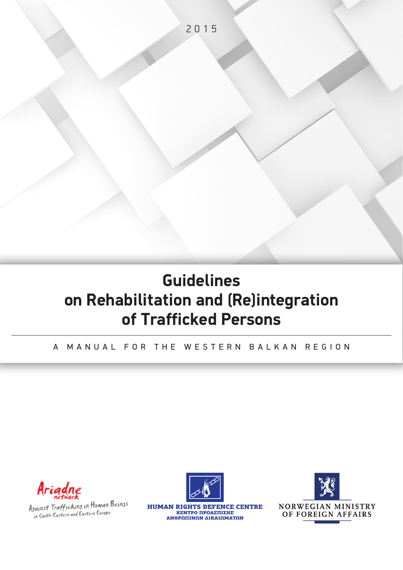## **Guidelines on Rehabilitation and (Re)integration of Trafficked Persons**

#### A MANUAL FOR THE WESTERN BALKAN REGION



Against Trafficking in Human Beings gainst Irafficking in Thinghone<br>in South-Eastern and Eastern Europe



**HUMAN RIGHTS DEFENCE CENTRE** KENTPO ΠΡΟΑΣΠΙΣΗΣ<br>ANOPΩΠΙΝΩΝ ΔΙΚΑΙΩΜΑΤΩΝ

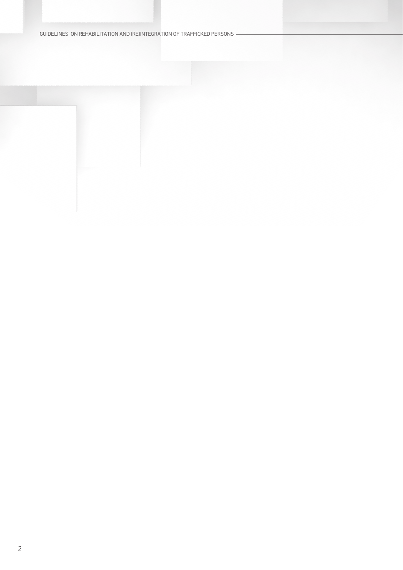Guidelines on Rehabilitation and (Re)integration of Trafficked Persons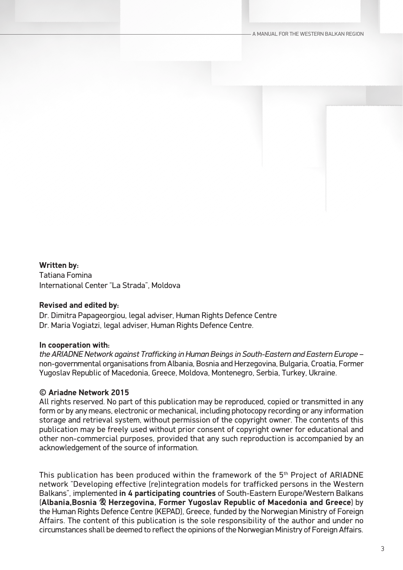#### **Written by:**  Tatiana Fomina International Center "La Strada", Moldova

#### **Revised and edited by:**

Dr. Dimitra Papageorgiou, legal adviser, Human Rights Defence Centre Dr. Maria Vogiatzi, legal adviser, Human Rights Defence Centre.

#### **In cooperation with:**

*the ARIADNE Network against Trafficking in Human Beings in South-Eastern and Eastern Europe* – non-governmental organisations from Albania, Bosnia and Herzegovina, Bulgaria, Croatia, Former Yugoslav Republic of Macedonia, Greece, Moldova, Montenegro, Serbia, Turkey, Ukraine.

#### **© Ariadne Network 2015**

All rights reserved. No part of this publication may be reproduced, copied or transmitted in any form or by any means, electronic or mechanical, including photocopy recording or any information storage and retrieval system, without permission of the copyright owner. The contents of this publication may be freely used without prior consent of copyright owner for educational and other non-commercial purposes, provided that any such reproduction is accompanied by an acknowledgement of the source of information.

This publication has been produced within the framework of the 5<sup>th</sup> Project of ARIADNE network "Developing effective (re)integration models for trafficked persons in the Western Balkans", implemented **in 4 participating countries** of South-Eastern Europe/Western Balkans (**Albania,Bosnia & Herzegovina, Former Yugoslav Republic of Macedonia and Greece**) by the Human Rights Defence Centre (KEPAD), Greece, funded by the Norwegian Ministry of Foreign Affairs. The content of this publication is the sole responsibility of the author and under no circumstances shall be deemed to reflect the opinions of the Norwegian Ministry of Foreign Affairs.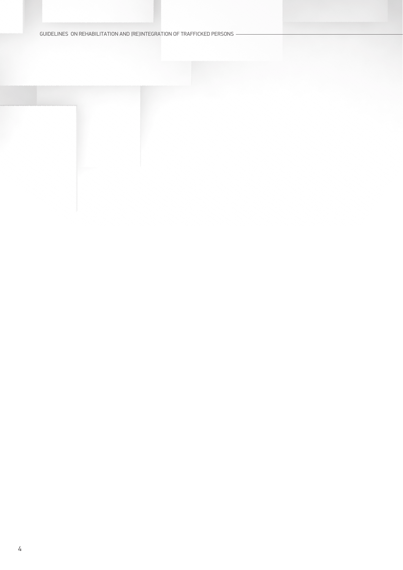Guidelines on Rehabilitation and (Re)integration of Trafficked Persons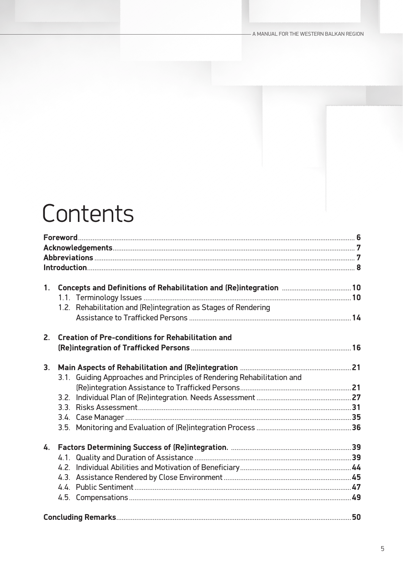A MANUAL FOR THE WESTERN BALKAN REGION

# Contents

| 1.             |      |                                                                        |    |  |
|----------------|------|------------------------------------------------------------------------|----|--|
|                |      |                                                                        |    |  |
|                |      | 1.2. Rehabilitation and (Re)integration as Stages of Rendering         |    |  |
|                |      |                                                                        |    |  |
| 2.             |      | <b>Creation of Pre-conditions for Rehabilitation and</b>               |    |  |
|                |      |                                                                        |    |  |
| 3 <sub>1</sub> |      |                                                                        |    |  |
|                |      | 3.1. Guiding Approaches and Principles of Rendering Rehabilitation and |    |  |
|                |      |                                                                        |    |  |
|                | 3.2. |                                                                        |    |  |
|                |      |                                                                        |    |  |
|                |      |                                                                        |    |  |
|                |      |                                                                        |    |  |
| 4.             |      |                                                                        |    |  |
|                |      |                                                                        |    |  |
|                |      |                                                                        |    |  |
|                |      |                                                                        |    |  |
|                |      |                                                                        |    |  |
|                |      |                                                                        |    |  |
|                |      | <b>Concluding Remarks</b>                                              | 50 |  |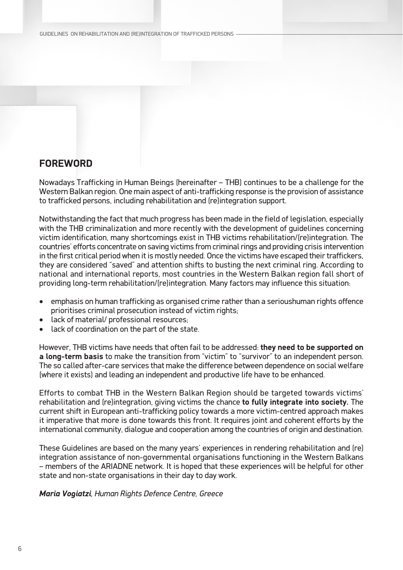## **FOREWORD**

Nowadays Trafficking in Human Beings (hereinafter – THB) continues to be a challenge for the Western Balkan region. One main aspect of anti-trafficking response is the provision of assistance to trafficked persons, including rehabilitation and (re)integration support.

Notwithstanding the fact that much progress has been made in the field of legislation, especially with the THB criminalization and more recently with the development of guidelines concerning victim identification, many shortcomings exist in THB victims rehabilitation/(re)integration. The countries' efforts concentrate on saving victims from criminal rings and providing crisis intervention in the first critical period when it is mostly needed. Once the victims have escaped their traffickers, they are considered "saved" and attention shifts to busting the next criminal ring. According to national and international reports, most countries in the Western Balkan region fall short of providing long-term rehabilitation/(re)integration. Many factors may influence this situation:

- emphasis on human trafficking as organised crime rather than a serioushuman rights offence prioritises criminal prosecution instead of victim rights;
- lack of material/ professional resources;
- lack of coordination on the part of the state.

However, THB victims have needs that often fail to be addressed: **they need to be supported on a long-term basis** to make the transition from "victim" to "survivor" to an independent person. The so called after-care services that make the difference between dependence on social welfare (where it exists) and leading an independent and productive life have to be enhanced.

Efforts to combat THB in the Western Balkan Region should be targeted towards victims' rehabilitation and (re)integration, giving victims the chance **to fully integrate into society.** The current shift in European anti-trafficking policy towards a more victim-centred approach makes it imperative that more is done towards this front. It requires joint and coherent efforts by the international community, dialogue and cooperation among the countries of origin and destination.

These Guidelines are based on the many years' experiences in rendering rehabilitation and (re) integration assistance of non-governmental organisations functioning in the Western Balkans – members of the ARIADNE network. It is hoped that these experiences will be helpful for other state and non-state organisations in their day to day work.

*Maria Vogiatzi, Human Rights Defence Centre, Greece*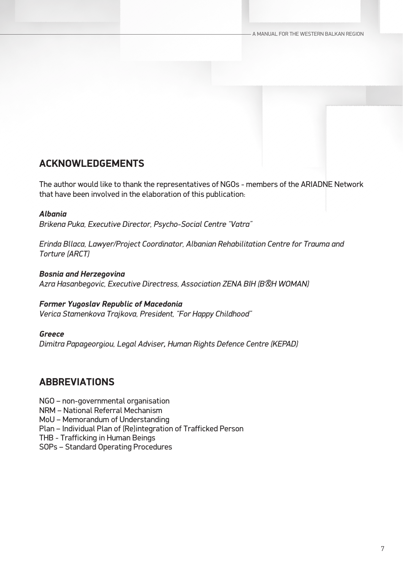## **ACKNOWLEDGEMENTS**

The author would like to thank the representatives of NGOs - members of the ARIADNE Network that have been involved in the elaboration of this publication:

#### *Albania*

*Brikena Puka, Executive Director, Psycho-Social Centre "Vatra"*

*Erinda Bllaca, Lawyer/Project Coordinator, Albanian Rehabilitation Centre for Trauma and Torture (ARCT)*

#### *Bosnia and Herzegovina*

*Azra Hasanbegovic, Executive Directress, Association ZENA BIH (B&H WOMAN)*

#### *Former Yugoslav Republic of Macedonia*

*Verica Stamenkova Trajkova, President, "For Happy Childhood"*

#### *Greece*

*Dimitra Papageorgiou, Legal Adviser, Human Rights Defence Centre (KEPAD)*

## **ABBREVIATIONS**

NGO – non-governmental organisation

NRM – National Referral Mechanism

MoU – Memorandum of Understanding

Plan – Individual Plan of (Re)integration of Trafficked Person

THB - Trafficking in Human Beings

SOPs – Standard Operating Procedures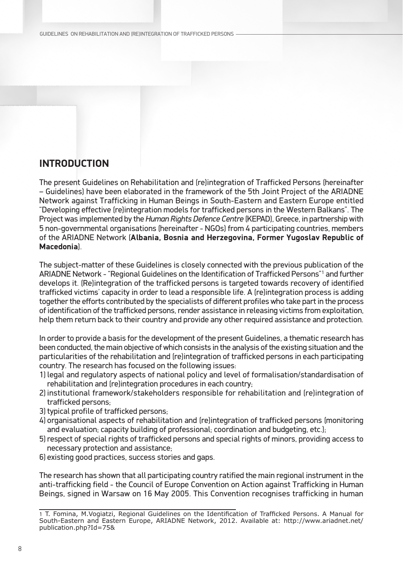## **INTRODUCTION**

The present Guidelines on Rehabilitation and (re)integration of Trafficked Persons (hereinafter – Guidelines) have been elaborated in the framework of the 5th Joint Project of the ARIADNE Network against Trafficking in Human Beings in South-Eastern and Eastern Europe entitled "Developing effective (re)integration models for trafficked persons in the Western Balkans". The Project was implemented by the *Human Rights Defence Centre* (KEPAD), Greece, in partnership with 5 non-governmental organisations (hereinafter - NGOs) from 4 participating countries, members of the ARIADNE Network (**Albania, Bosnia and Herzegovina, Former Yugoslav Republic of Macedonia**).

The subject-matter of these Guidelines is closely connected with the previous publication of the ARIADNE Network - "Regional Guidelines on the Identification of Trafficked Persons"1 and further develops it. (Re)integration of the trafficked persons is targeted towards recovery of identified trafficked victims' capacity in order to lead a responsible life. A (re)integration process is adding together the efforts contributed by the specialists of different profiles who take part in the process of identification of the trafficked persons, render assistance in releasing victims from exploitation, help them return back to their country and provide any other required assistance and protection.

In order to provide a basis for the development of the present Guidelines, a thematic research has been conducted, the main objective of which consists in the analysis of the existing situation and the particularities of the rehabilitation and (re)integration of trafficked persons in each participating country. The research has focused on the following issues:

- 1) legal and regulatory aspects of national policy and level of formalisation/standardisation of rehabilitation and (re)integration procedures in each country;
- 2) institutional framework/stakeholders responsible for rehabilitation and (re)integration of trafficked persons;
- 3)typical profile of trafficked persons;
- 4) organisational aspects of rehabilitation and (re)integration of trafficked persons (monitoring and evaluation; capacity building of professional; coordination and budgeting, etc.);
- 5)respect of special rights of trafficked persons and special rights of minors, providing access to necessary protection and assistance;
- 6) existing good practices, success stories and gaps.

The research has shown that all participating country ratified the main regional instrument in the anti-trafficking field - the Council of Europe Convention on Action against Trafficking in Human Beings, signed in Warsaw on 16 May 2005. This Convention recognises trafficking in human

<sup>1</sup> T. Fomina, M.Vogiatzi, Regional Guidelines on the Identification of Trafficked Persons. A Manual for South-Eastern and Eastern Europe, ARIADNE Network, 2012. Available at: http://www.ariadnet.net/ publication.php?Id=75&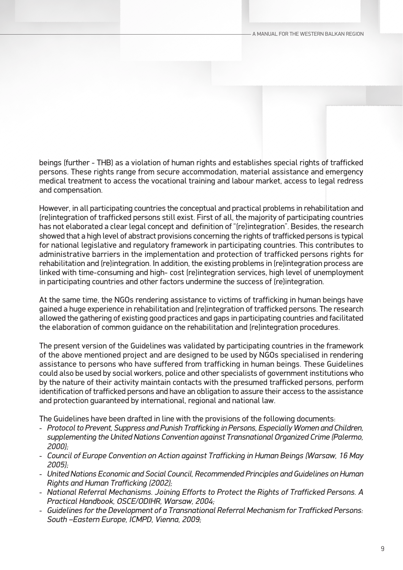beings (further - THB) as a violation of human rights and establishes special rights of trafficked persons. These rights range from secure accommodation, material assistance and emergency medical treatment to access the vocational training and labour market, access to legal redress and compensation.

However, in all participating countries the conceptual and practical problems in rehabilitation and (re)integration of trafficked persons still exist. First of all, the majority of participating countries has not elaborated a clear legal concept and definition of "(re)integration". Besides, the research showed that a high level of abstract provisions concerning the rights of trafficked persons is typical for national legislative and regulatory framework in participating countries. This contributes to administrative barriers in the implementation and protection of trafficked persons rights for rehabilitation and (re)integration. In addition, the existing problems in (re)integration process are linked with time-consuming and high- cost (re)integration services, high level of unemployment in participating countries and other factors undermine the success of (re)integration.

At the same time, the NGOs rendering assistance to victims of trafficking in human beings have gained a huge experience in rehabilitation and (re)integration of trafficked persons. The research allowed the gathering of existing good practices and gaps in participating countries and facilitated the elaboration of common guidance on the rehabilitation and (re)integration procedures.

The present version of the Guidelines was validated by participating countries in the framework of the above mentioned project and are designed to be used by NGOs specialised in rendering assistance to persons who have suffered from trafficking in human beings. These Guidelines could also be used by social workers, police and other specialists of government institutions who by the nature of their activity maintain contacts with the presumed trafficked persons, perform identification of trafficked persons and have an obligation to assure their access to the assistance and protection guaranteed by international, regional and national law.

The Guidelines have been drafted in line with the provisions of the following documents:

- *Protocol to Prevent, Suppress and Punish Trafficking in Persons, Especially Women and Children, supplementing the United Nations Convention against Transnational Organized Crime (Palermo, 2000);*
- *Council of Europe Convention on Action against Trafficking in Human Beings (Warsaw, 16 May 2005);*
- *United Nations Economic and Social Council, Recommended Principles and Guidelines on Human Rights and Human Trafficking (2002);*
- *National Referral Mechanisms. Joining Efforts to Protect the Rights of Trafficked Persons. A Practical Handbook, OSCE/ODIHR, Warsaw, 2004;*
- *Guidelines for the Development of a Transnational Referral Mechanism for Trafficked Persons: South –Eastern Europe, ICMPD, Vienna, 2009;*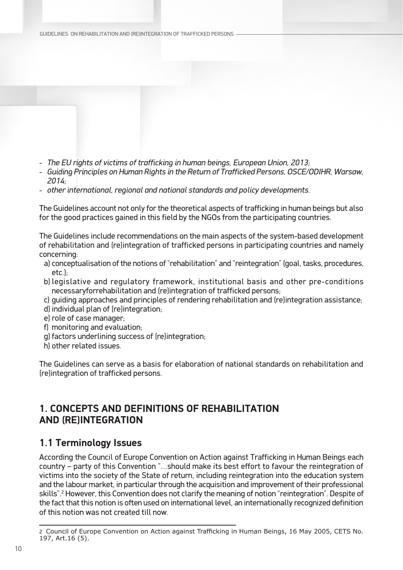- *The EU rights of victims of trafficking in human beings, European Union, 2013;*
- *Guiding Principles on Human Rights in the Return of Trafficked Persons, OSCE/ODIHR, Warsaw, 2014;*
- *other international, regional and national standards and policy developments.*

The Guidelines account not only for the theoretical aspects of trafficking in human beings but also for the good practices gained in this field by the NGOs from the participating countries.

The Guidelines include recommendations on the main aspects of the system-based development of rehabilitation and (re)integration of trafficked persons in participating countries and namely concerning:

- a) conceptualisation of the notions of "rehabilitation" and "reintegration" (goal, tasks, procedures, etc.);
- b) legislative and regulatory framework, institutional basis and other pre-conditions necessaryforrehabilitation and (re)integration of trafficked persons;
- c) guiding approaches and principles of rendering rehabilitation and (re)integration assistance;
- d) individual plan of (re)integration;
- e) role of case manager;
- f) monitoring and evaluation;
- g) factors underlining success of (re)integration;
- h) other related issues.

The Guidelines can serve as a basis for elaboration of national standards on rehabilitation and (re)integration of trafficked persons.

## **1. CONCEPTS AND DEFINITIONS OF REHABILITATION AND (RE)INTEGRATION**

## **1.1 Terminology Issues**

According the Council of Europe Convention on Action against Trafficking in Human Beings each country – party of this Convention "…should make its best effort to favour the reintegration of victims into the society of the State of return, including reintegration into the education system and the labour market, in particular through the acquisition and improvement of their professional skills".<sup>2</sup> However, this Convention does not clarify the meaning of notion "reintegration". Despite of the fact that this notion is often used on international level, an internationally recognized definition of this notion was not created till now.

<sup>2</sup> Council of Europe Convention on Action against Trafficking in Human Beings, 16 May 2005, CETS No. 197, Art.16 (5).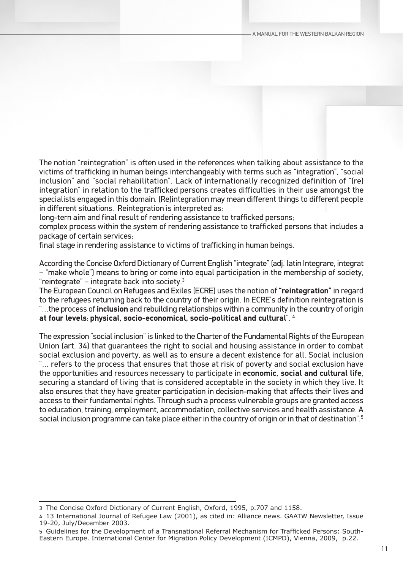The notion "reintegration" is often used in the references when talking about assistance to the victims of trafficking in human beings interchangeably with terms such as "integration", "social inclusion" and "social rehabilitation". Lack of internationally recognized definition of "(re) integration" in relation to the trafficked persons creates difficulties in their use amongst the specialists engaged in this domain. (Re)integration may mean different things to different people in different situations. Reintegration is interpreted as:

long-tern aim and final result of rendering assistance to trafficked persons;

complex process within the system of rendering assistance to trafficked persons that includes a package of certain services;

final stage in rendering assistance to victims of trafficking in human beings.

According the Concise Oxford Dictionary of Current English "integrate" (adj. latin Integrare, integrat – "make whole") means to bring or come into equal participation in the membership of society, "reintegrate" – integrate back into society.3 

The European Council on Refugees and Exiles (ECRE) uses the notion of **"reintegration"** in regard to the refugees returning back to the country of their origin. In ECRE's definition reintegration is "…the process of **inclusion** and rebuilding relationships within a community in the country of origin **at four levels**: **physical, socio-economical, socio-political and cultural**". 4

The expression "social inclusion" is linked to the Charter of the Fundamental Rights of the European Union (art. 34) that guarantees the right to social and housing assistance in order to combat social exclusion and poverty, as well as to ensure a decent existence for all. Social inclusion "… refers to the process that ensures that those at risk of poverty and social exclusion have the opportunities and resources necessary to participate in **economic, social and cultural life**, securing a standard of living that is considered acceptable in the society in which they live. It also ensures that they have greater participation in decision-making that affects their lives and access to their fundamental rights. Through such a process vulnerable groups are granted access to education, training, employment, accommodation, collective services and health assistance. A social inclusion programme can take place either in the country of origin or in that of destination".<sup>5</sup>

<sup>3</sup> The Concise Oxford Dictionary of Current English, Oxford, 1995, p.707 and 1158.

<sup>4</sup> 13 International Journal of Refugee Law (2001), as cited in: Alliance news. GAATW Newsletter, Issue 19-20, July/December 2003.

<sup>5</sup> Guidelines for the Development of a Transnational Referral Mechanism for Trafficked Persons: South-Eastern Europe. International Center for Migration Policy Development (ICMPD), Vienna, 2009, p.22.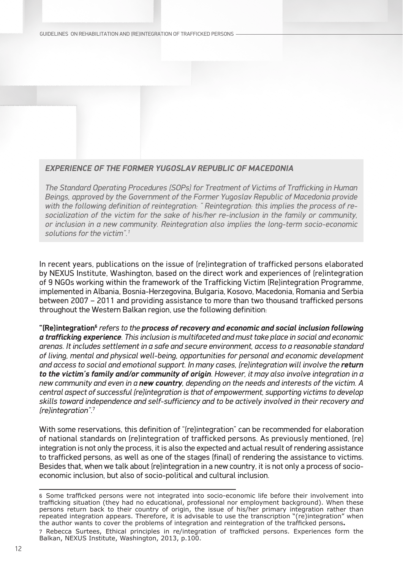Guidelines on Rehabilitation and (Re)integration of Trafficked Persons

#### *EXPERIENCE OF THE FORMER YUGOSLAV REPUBLIC OF MACEDONIA*

*The Standard Operating Procedures (SOPs) for Treatment of Victims of Trafficking in Human Beings, approved by the Government of the Former Yugoslav Republic of Macedonia provide with the following definition of reintegration: " Reintegration: this implies the process of resocialization of the victim for the sake of his/her re-inclusion in the family or community, or inclusion in a new community. Reintegration also implies the long-term socio-economic solutions for the victim".1*

In recent years, publications on the issue of (re)integration of trafficked persons elaborated by NEXUS Institute, Washington, based on the direct work and experiences of (re)integration of 9 NGOs working within the framework of the Trafficking Victim (Re)integration Programme, implemented in Albania, Bosnia-Herzegovina, Bulgaria, Kosovo, Macedonia, Romania and Serbia between 2007 – 2011 and providing assistance to more than two thousand trafficked persons throughout the Western Balkan region, use the following definition:

**"(Re)integration6** *refers to the process of recovery and economic and social inclusion following a trafficking experience. This inclusion is multifaceted and must take place in social and economic arenas. It includes settlement in a safe and secure environment, access to a reasonable standard of living, mental and physical well-being, opportunities for personal and economic development*  and access to social and emotional support. In many cases, (re)integration will involve the **return** *to the victim's family and/or community of origin. However, it may also involve integration in a new community and even in a new country, depending on the needs and interests of the victim. A central aspect of successful (re)integration is that of empowerment, supporting victims to develop skills toward independence and self-sufficiency and to be actively involved in their recovery and (re)integration"*. 7

With some reservations, this definition of "(re)integration" can be recommended for elaboration of national standards on (re)integration of trafficked persons. As previously mentioned, (re) integration is not only the process, it is also the expected and actual result of rendering assistance to trafficked persons, as well as one of the stages (final) of rendering the assistance to victims. Besides that, when we talk about (re)integration in a new country, it is not only a process of socioeconomic inclusion, but also of socio-political and cultural inclusion.

<sup>6</sup> Some trafficked persons were not integrated into socio-economic life before their involvement into trafficking situation (they had no educational, professional nor employment background). When these persons return back to their country of origin, the issue of his/her primary integration rather than repeated integration appears. Therefore, it is advisable to use the transcription "(re)integration" when the author wants to cover the problems of integration and reintegration of the trafficked persons**.**  7 Rebecca Surtees, Ethical principles in re/integration of trafficked persons. Experiences form the Balkan, NEXUS Institute, Washington, 2013, p.100.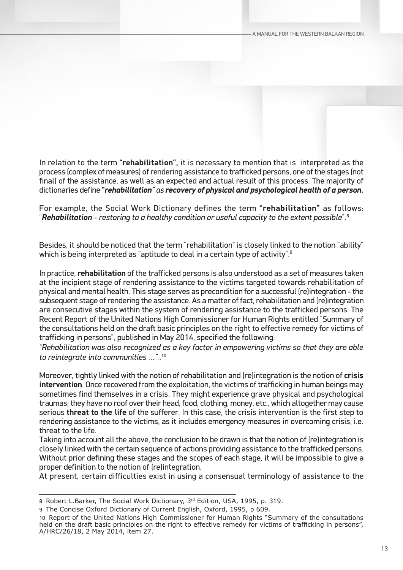In relation to the term **"rehabilitation",** it is necessary to mention that is interpreted as the process (complex of measures) of rendering assistance to trafficked persons, one of the stages (not final) of the assistance, as well as an expected and actual result of this process. The majority of dictionaries define **"***rehabilitation" as recovery of physical and psychological health of a person***.**

For example, the Social Work Dictionary defines the term **"rehabilitation"** as follows: "*Rehabilitation - restoring to a healthy condition or useful capacity to the extent possible*".8

Besides, it should be noticed that the term "rehabilitation" is closely linked to the notion "ability" which is being interpreted as "aptitude to deal in a certain type of activity".<sup>9</sup>

In practice, **rehabilitation** of the trafficked persons is also understood as a set of measures taken at the incipient stage of rendering assistance to the victims targeted towards rehabilitation of physical and mental health. This stage serves as precondition for a successful (re)integration - the subsequent stage of rendering the assistance. As a matter of fact, rehabilitation and (re)integration are consecutive stages within the system of rendering assistance to the trafficked persons. The Recent Report of the United Nations High Commissioner for Human Rights entitled "Summary of the consultations held on the draft basic principles on the right to effective remedy for victims of trafficking in persons", published in May 2014, specified the following:

*"Rehabilitation was also recognized as a key factor in empowering victims so that they are able to reintegrate into communities …".*. 10

Moreover, tightly linked with the notion of rehabilitation and (re)integration is the notion of **crisis intervention**. Once recovered from the exploitation, the victims of trafficking in human beings may sometimes find themselves in a crisis. They might experience grave physical and psychological traumas; they have no roof over their head, food, clothing, money, etc., which altogether may cause serious **threat to the life** of the sufferer. In this case, the crisis intervention is the first step to rendering assistance to the victims, as it includes emergency measures in overcoming crisis, i.e. threat to the life.

Taking into account all the above, the conclusion to be drawn is that the notion of (re)integration is closely linked with the certain sequence of actions providing assistance to the trafficked persons. Without prior defining these stages and the scopes of each stage, it will be impossible to give a proper definition to the notion of (re)integration.

At present, certain difficulties exist in using a consensual terminology of assistance to the

<sup>8</sup> Robert L.Barker, The Social Work Dictionary, 3<sup>rd</sup> Edition, USA, 1995, p. 319.

<sup>9</sup> The Concise Oxford Dictionary of Current English, Oxford, 1995, p 609.

<sup>10</sup> Report of the United Nations High Commissioner for Human Rights "Summary of the consultations held on the draft basic principles on the right to effective remedy for victims of trafficking in persons", A/HRC/26/18, 2 May 2014, item 27.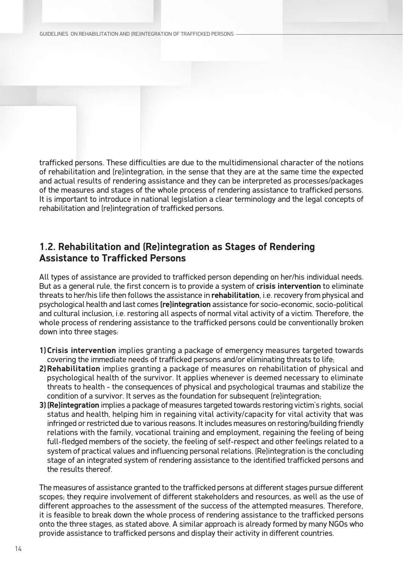trafficked persons. These difficulties are due to the multidimensional character of the notions of rehabilitation and (re)integration, in the sense that they are at the same time the expected and actual results of rendering assistance and they can be interpreted as processes/packages of the measures and stages of the whole process of rendering assistance to trafficked persons. It is important to introduce in national legislation a clear terminology and the legal concepts of rehabilitation and (re)integration of trafficked persons.

## **1.2. Rehabilitation and (Re)integration as Stages of Rendering Assistance to Trafficked Persons**

All types of assistance are provided to trafficked person depending on her/his individual needs. But as a general rule, the first concern is to provide a system of **crisis intervention** to eliminate threats to her/his life then follows the assistance in **rehabilitation**, i.e. recovery from physical and psychological health and last comes **(re)integration** assistance for socio-economic, socio-political and cultural inclusion, i.e. restoring all aspects of normal vital activity of a victim. Therefore, the whole process of rendering assistance to the trafficked persons could be conventionally broken down into three stages:

- **1)Crisis intervention** implies granting a package of emergency measures targeted towards covering the immediate needs of trafficked persons and/or eliminating threats to life;
- **2)Rehabilitation** implies granting a package of measures on rehabilitation of physical and psychological health of the survivor. It applies whenever is deemed necessary to eliminate threats to health - the consequences of physical and psychological traumas and stabilize the condition of a survivor. It serves as the foundation for subsequent (re)integration;
- **3)(Re)integration** implies a package of measures targeted towards restoring victim's rights, social status and health, helping him in regaining vital activity/capacity for vital activity that was infringed or restricted due to various reasons. It includes measures on restoring/building friendly relations with the family, vocational training and employment, regaining the feeling of being full-fledged members of the society, the feeling of self-respect and other feelings related to a system of practical values and influencing personal relations. (Re)integration is the concluding stage of an integrated system of rendering assistance to the identified trafficked persons and the results thereof.

The measures of assistance granted to the trafficked persons at different stages pursue different scopes; they require involvement of different stakeholders and resources, as well as the use of different approaches to the assessment of the success of the attempted measures. Therefore, it is feasible to break down the whole process of rendering assistance to the trafficked persons onto the three stages, as stated above. A similar approach is already formed by many NGOs who provide assistance to trafficked persons and display their activity in different countries.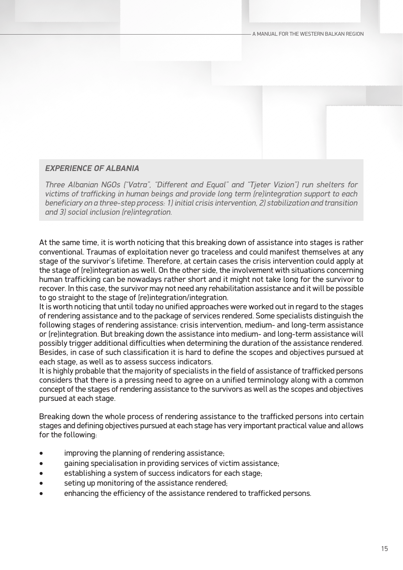#### *EXPERIENCE OF ALBANIA*

*Three Albanian NGOs ("Vatra", "Different and Equal" and "Tjeter Vizion") run shelters for victims of trafficking in human beings and provide long term (re)integration support to each beneficiary on a three-step process: 1) initial crisis intervention, 2) stabilization and transition and 3) social inclusion (re)integration.*

At the same time, it is worth noticing that this breaking down of assistance into stages is rather conventional. Traumas of exploitation never go traceless and could manifest themselves at any stage of the survivor's lifetime. Therefore, at certain cases the crisis intervention could apply at the stage of (re)integration as well. On the other side, the involvement with situations concerning human trafficking can be nowadays rather short and it might not take long for the survivor to recover. In this case, the survivor may not need any rehabilitation assistance and it will be possible to go straight to the stage of (re)integration/integration.

It is worth noticing that until today no unified approaches were worked out in regard to the stages of rendering assistance and to the package of services rendered. Some specialists distinguish the following stages of rendering assistance: crisis intervention, medium- and long-term assistance or (re)integration. But breaking down the assistance into medium- and long-term assistance will possibly trigger additional difficulties when determining the duration of the assistance rendered. Besides, in case of such classification it is hard to define the scopes and objectives pursued at each stage, as well as to assess success indicators.

It is highly probable that the majority of specialists in the field of assistance of trafficked persons considers that there is a pressing need to agree on a unified terminology along with a common concept of the stages of rendering assistance to the survivors as well as the scopes and objectives pursued at each stage.

Breaking down the whole process of rendering assistance to the trafficked persons into certain stages and defining objectives pursued at each stage has very important practical value and allows for the following:

- improving the planning of rendering assistance;
- gaining specialisation in providing services of victim assistance;
- establishing a system of success indicators for each stage;
- seting up monitoring of the assistance rendered;
- enhancing the efficiency of the assistance rendered to trafficked persons.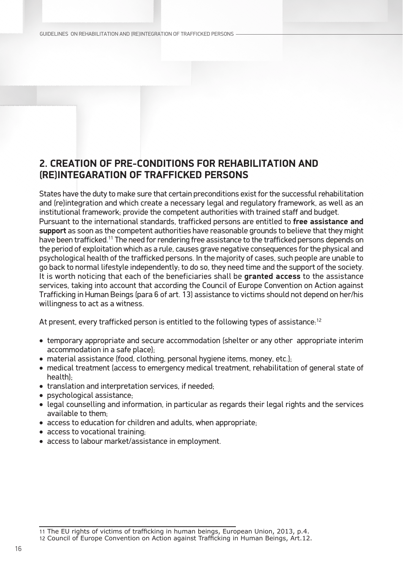## **2. CREATION OF PRE-CONDITIONS FOR REHABILITATION AND (RE)INTEGARATION OF TRAFFICKED PERSONS**

States have the duty to make sure that certain preconditions exist for the successful rehabilitation and (re)integration and which create a necessary legal and regulatory framework, as well as an institutional framework; provide the competent authorities with trained staff and budget. Pursuant to the international standards, trafficked persons are entitled to **free assistance and support** as soon as the competent authorities have reasonable grounds to believe that they might have been trafficked.<sup>11</sup> The need for rendering free assistance to the trafficked persons depends on the period of exploitation which as a rule, causes grave negative consequences for the physical and psychological health of the trafficked persons. In the majority of cases, such people are unable to go back to normal lifestyle independently; to do so, they need time and the support of the society. It is worth noticing that each of the beneficiaries shall be **granted access** to the assistance services, taking into account that according the Council of Europe Convention on Action against Trafficking in Human Beings (para 6 of art. 13) assistance to victims should not depend on her/his willingness to act as a witness.

At present, every trafficked person is entitled to the following types of assistance:<sup>12</sup>

- temporary appropriate and secure accommodation (shelter or any other appropriate interim accommodation in a safe place);
- material assistance (food, clothing, personal hygiene items, money, etc.);
- medical treatment (access to emergency medical treatment, rehabilitation of general state of health);
- translation and interpretation services, if needed;
- psychological assistance;
- legal counselling and information, in particular as regards their legal rights and the services available to them;
- access to education for children and adults, when appropriate;
- access to vocational training;
- access to labour market/assistance in employment.

<sup>11</sup> The EU rights of victims of trafficking in human beings, European Union, 2013, p.4.

<sup>12</sup> Council of Europe Convention on Action against Trafficking in Human Beings, Art.12.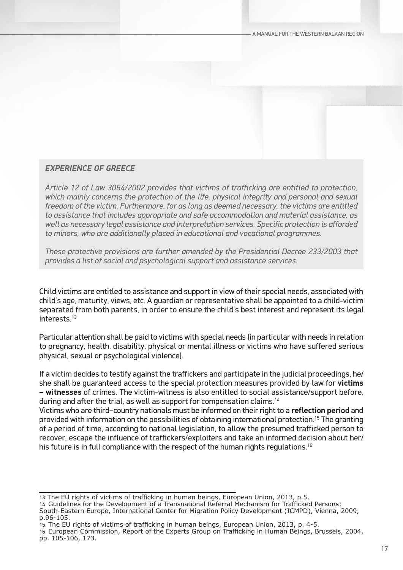#### *EXPERIENCE OF GREECE*

*Article 12 of Law 3064/2002 provides that victims of trafficking are entitled to protection, which mainly concerns the protection of the life, physical integrity and personal and sexual freedom of the victim. Furthermore, for as long as deemed necessary, the victims are entitled to assistance that includes appropriate and safe accommodation and material assistance, as well as necessary legal assistance and interpretation services. Specific protection is afforded to minors, who are additionally placed in educational and vocational programmes.*

*These protective provisions are further amended by the Presidential Decree 233/2003 that provides a list of social and psychological support and assistance services.*

Child victims are entitled to assistance and support in view of their special needs, associated with child's age, maturity, views, etc. A guardian or representative shall be appointed to a child-victim separated from both parents, in order to ensure the child's best interest and represent its legal interests<sup>13</sup>

Particular attention shall be paid to victims with special needs (in particular with needs in relation to pregnancy, health, disability, physical or mental illness or victims who have suffered serious physical, sexual or psychological violence).

If a victim decides to testify against the traffickers and participate in the judicial proceedings, he/ she shall be guaranteed access to the special protection measures provided by law for **victims – witnesses** of crimes. The victim-witness is also entitled to social assistance/support before, during and after the trial, as well as support for compensation claims.<sup>14</sup>

Victims who are third–country nationals must be informed on their right to a **reflection period** and provided with information on the possibilities of obtaining international protection.<sup>15</sup> The granting of a period of time, according to national legislation, to allow the presumed trafficked person to recover, escape the influence of traffickers/exploiters and take an informed decision about her/ his future is in full compliance with the respect of the human rights regulations.<sup>16</sup>

<sup>13</sup> The EU rights of victims of trafficking in human beings, European Union, 2013, p.5.

<sup>14</sup> Guidelines for the Development of a Transnational Referral Mechanism for Trafficked Persons: South-Eastern Europe, International Center for Migration Policy Development (ICMPD), Vienna, 2009, p.96-105.

<sup>15</sup> The EU rights of victims of trafficking in human beings, European Union, 2013, p. 4-5.

<sup>16</sup> European Commission, Report of the Experts Group on Trafficking in Human Beings, Brussels, 2004, pp. 105-106, 173.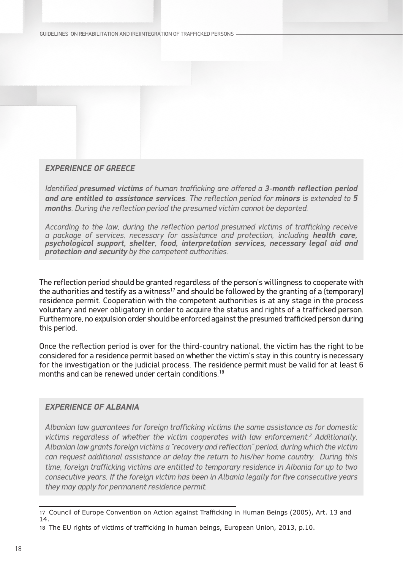#### *EXPERIENCE OF GREECE*

*Identified presumed victims of human trafficking are offered a 3-month reflection period and are entitled to assistance services. The reflection period for minors is extended to 5 months. During the reflection period the presumed victim cannot be deported.*

*According to the law, during the reflection period presumed victims of trafficking receive a package of services, necessary for assistance and protection, including health care, psychological support, shelter, food, interpretation services, necessary legal aid and protection and security by the competent authorities.* 

The reflection period should be granted regardless of the person's willingness to cooperate with the authorities and testify as a witness<sup>17</sup> and should be followed by the granting of a (temporary) residence permit. Cooperation with the competent authorities is at any stage in the process voluntary and never obligatory in order to acquire the status and rights of a trafficked person. Furthermore, no expulsion order should be enforced against the presumed trafficked person during this period.

Once the reflection period is over for the third-country national, the victim has the right to be considered for a residence permit based on whether the victim's stay in this country is necessary for the investigation or the judicial process. The residence permit must be valid for at least 6 months and can be renewed under certain conditions.<sup>18</sup>

#### *EXPERIENCE OF ALBANIA*

*Albanian law guarantees for foreign trafficking victims the same assistance as for domestic victims regardless of whether the victim cooperates with law enforcement.2 Additionally, Albanian law grants foreign victims a "recovery and reflection" period, during which the victim can request additional assistance or delay the return to his/her home country. During this time, foreign trafficking victims are entitled to temporary residence in Albania for up to two consecutive years. If the foreign victim has been in Albania legally for five consecutive years they may apply for permanent residence permit.*

- 17 Council of Europe Convention on Action against Trafficking in Human Beings (2005), Art. 13 and 14.
- 18 The EU rights of victims of trafficking in human beings, European Union, 2013, p.10.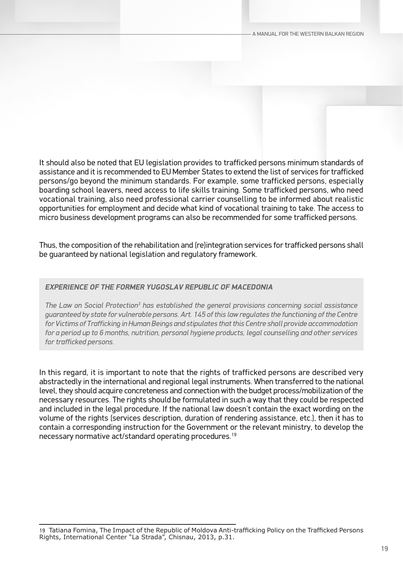It should also be noted that EU legislation provides to trafficked persons minimum standards of assistance and it is recommended to EU Member States to extend the list of services for trafficked persons/go beyond the minimum standards. For example, some trafficked persons, especially boarding school leavers, need access to life skills training. Some trafficked persons, who need vocational training, also need professional carrier counselling to be informed about realistic opportunities for employment and decide what kind of vocational training to take. The access to micro business development programs can also be recommended for some trafficked persons.

Thus, the composition of the rehabilitation and (re)integration services for trafficked persons shall be guaranteed by national legislation and regulatory framework.

#### *EXPERIENCE OF THE FORMER YUGOSLAV REPUBLIC OF MACEDONIA*

The Law on Social Protection<sup>3</sup> has established the general provisions concerning social assistance *guaranteed by state for vulnerable persons. Art. 145 of this law regulates the functioning of the Centre for Victims of Trafficking in Human Beings and stipulates that this Centre shall provide accommodation for a period up to 6 months, nutrition, personal hygiene products, legal counselling and other services for trafficked persons.*

In this regard, it is important to note that the rights of trafficked persons are described very abstractedly in the international and regional legal instruments. When transferred to the national level, they should acquire concreteness and connection with the budget process/mobilization of the necessary resources. The rights should be formulated in such a way that they could be respected and included in the legal procedure. If the national law doesn't contain the exact wording on the volume of the rights (services description, duration of rendering assistance, etc.), then it has to contain a corresponding instruction for the Government or the relevant ministry, to develop the necessary normative act/standard operating procedures.<sup>19</sup>

<sup>19</sup> Tatiana Fomina, The Impact of the Republic of Moldova Anti-trafficking Policy on the Trafficked Persons Rights, International Center "La Strada", Chisnau, 2013, p.31.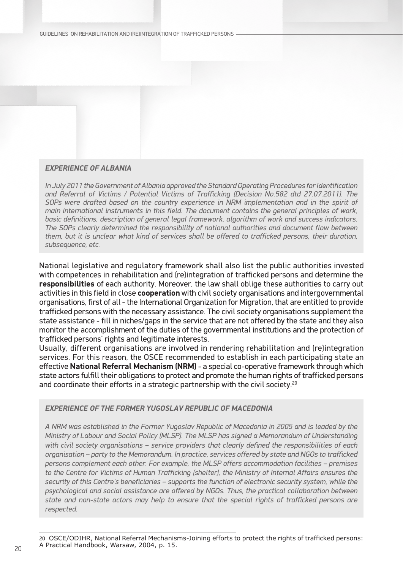Guidelines on Rehabilitation and (Re)integration of Trafficked Persons

#### *EXPERIENCE OF ALBANIA*

*In July 2011 the Government of Albania approved the Standard Operating Procedures for Identification and Referral of Victims / Potential Victims of Trafficking (Decision No.582 dtd 27.07.2011). The SOPs were drafted based on the country experience in NRM implementation and in the spirit of main international instruments in this field. The document contains the general principles of work, basic definitions, description of general legal framework, algorithm of work and success indicators. The SOPs clearly determined the responsibility of national authorities and document flow between them, but it is unclear what kind of services shall be offered to trafficked persons, their duration, subsequence, etc.* 

National legislative and regulatory framework shall also list the public authorities invested with competences in rehabilitation and (re)integration of trafficked persons and determine the **responsibilities** of each authority. Moreover, the law shall oblige these authorities to carry out activities in this field in close **cooperation** with civil society organisations and intergovernmental organisations, first of all - the International Organization for Migration, that are entitled to provide trafficked persons with the necessary assistance. The civil society organisations supplement the state assistance - fill in niches/gaps in the service that are not offered by the state and they also monitor the accomplishment of the duties of the governmental institutions and the protection of trafficked persons' rights and legitimate interests.

Usually, different organisations are involved in rendering rehabilitation and (re)integration services. For this reason, the OSCE recommended to establish in each participating state an effective **National Referral Mechanism (NRM)** - a special co-operative framework through which state actors fulfill their obligations to protect and promote the human rights of trafficked persons and coordinate their efforts in a strategic partnership with the civil society.<sup>20</sup>

#### *EXPERIENCE OF THE FORMER YUGOSLAV REPUBLIC OF MACEDONIA*

*A NRM was established in the Former Yugoslav Republic of Macedonia in 2005 and is leaded by the Ministry of Labour and Social Policy (MLSP). The MLSP has signed a Memorandum of Understanding with civil society organisations – service providers that clearly defined the responsibilities of each organisation – party to the Memorandum. In practice, services offered by state and NGOs to trafficked persons complement each other. For example, the MLSP offers accommodation facilities – premises to the Centre for Victims of Human Trafficking (shelter), the Ministry of Internal Affairs ensures the security of this Centre's beneficiaries – supports the function of electronic security system, while the psychological and social assistance are offered by NGOs. Thus, the practical collaboration between state and non-state actors may help to ensure that the special rights of trafficked persons are respected.*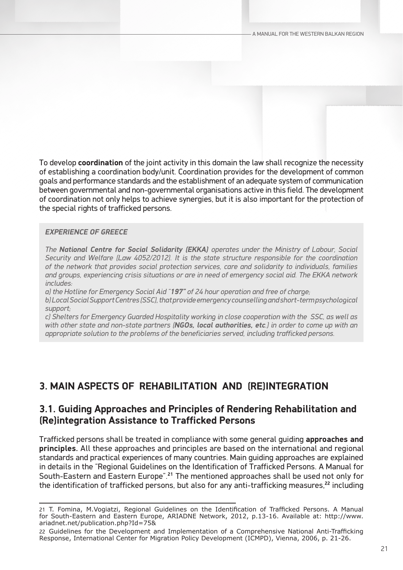To develop **coordination** of the joint activity in this domain the law shall recognize the necessity of establishing a coordination body/unit. Coordination provides for the development of common goals and performance standards and the establishment of an adequate system of communication between governmental and non-governmental organisations active in this field. The development of coordination not only helps to achieve synergies, but it is also important for the protection of the special rights of trafficked persons.

#### *EXPERIENCE OF GREECE*

*The National Centre for Social Solidarity (EKKA) operates under the Ministry of Labour, Social Security and Welfare (Law 4052/2012). It is the state structure responsible for the coordination of the network that provides social protection services, care and solidarity to individuals, families and groups, experiencing crisis situations or are in need of emergency social aid. The EKKA network includes:* 

*a) the Hotline for Emergency Social Aid "197" of 24 hour operation and free of charge;*

*b) Local Social Support Centres (SSC), that provide emergency counselling and short-term psychological support;* 

*c) Shelters for Emergency Guarded Hospitality working in close cooperation with the SSC, as well as with other state and non-state partners (NGOs, local authorities, etc.) in order to come up with an appropriate solution to the problems of the beneficiaries served, including trafficked persons.* 

## **3. MAIN ASPECTS OF REHABILITATION AND (RE)INTEGRATION**

## **3.1. Guiding Approaches and Principles of Rendering Rehabilitation and (Re)integration Assistance to Trafficked Persons**

Trafficked persons shall be treated in compliance with some general guiding **approaches and principles.** All these approaches and principles are based on the international and regional standards and practical experiences of many countries. Main guiding approaches are explained in details in the "Regional Guidelines on the Identification of Trafficked Persons. A Manual for South-Eastern and Eastern Europe".**<sup>21</sup>** The mentioned approaches shall be used not only for the identification of trafficked persons, but also for any anti-trafficking measures,**<sup>22</sup>** including

<sup>21</sup> T. Fomina, M.Vogiatzi, Regional Guidelines on the Identification of Trafficked Persons. A Manual for South-Eastern and Eastern Europe, ARIADNE Network, 2012, p.13-16. Available at: http://www. ariadnet.net/publication.php?Id=75&

<sup>22</sup> Guidelines for the Development and Implementation of a Comprehensive National Anti-Trafficking Response, International Center for Migration Policy Development (ICMPD), Vienna, 2006, p. 21-26.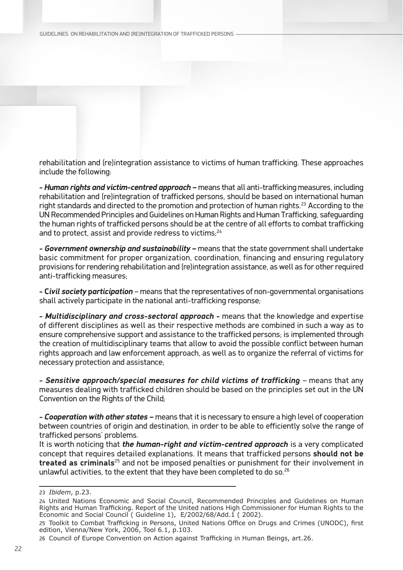rehabilitation and (re)integration assistance to victims of human trafficking. These approaches include the following:

*- Human rights and victim-centred approach –* means that all anti-trafficking measures, including rehabilitation and (re)integration of trafficked persons, should be based on international human right standards and directed to the promotion and protection of human rights.<sup>23</sup> According to the UN Recommended Principles and Guidelines on Human Rights and Human Trafficking, safeguarding the human rights of trafficked persons should be at the centre of all efforts to combat trafficking and to protect, assist and provide redress to victims; $^{24}$ 

*- Government ownership and sustainability –* means that the state government shall undertake basic commitment for proper organization, coordination, financing and ensuring regulatory provisions for rendering rehabilitation and (re)integration assistance, as well as for other required anti-trafficking measures;

**- C***ivil society* **p***articipation* – means that the representatives of non-governmental organisations shall actively participate in the national anti-trafficking response*;*

*- Multidisciplinary and cross-sectoral approach -* means that the knowledge and expertise of different disciplines as well as their respective methods are combined in such a way as to ensure comprehensive support and assistance to the trafficked persons; is implemented through the creation of multidisciplinary teams that allow to avoid the possible conflict between human rights approach and law enforcement approach, as well as to organize the referral of victims for necessary protection and assistance;

**- Sensitive approach/special measures for child victims of trafficking** *–* **means that any** measures dealing with trafficked children should be based on the principles set out in the UN Convention on the Rights of the Child*;*

*- Cooperation with other states –* means that it is necessary to ensure a high level of cooperation between countries of origin and destination, in order to be able to efficiently solve the range of trafficked persons' problems.

It is worth noticing that *the human-right and victim-centred approach* is a very complicated concept that requires detailed explanations. It means that trafficked persons **should not be treated as criminals**25 and not be imposed penalties or punishment for their involvement in unlawful activities, to the extent that they have been completed to do so. $^{26}$ 

<sup>23</sup> *Ibidem*, p.23.

<sup>24</sup> United Nations Economic and Social Council, Recommended Principles and Guidelines on Human Rights and Human Trafficking. Report of the United nations High Commissioner for Human Rights to the Economic and Social Council ( Guideline 1), E/2002/68/Add.1 ( 2002).

<sup>25</sup> Toolkit to Combat Trafficking in Persons, United Nations Office on Drugs and Crimes (UNODC), first edition, Vienna/New York, 2006, Tool 6.1, p.103.

<sup>26</sup> Council of Europe Convention on Action against Trafficking in Human Beings, art.26.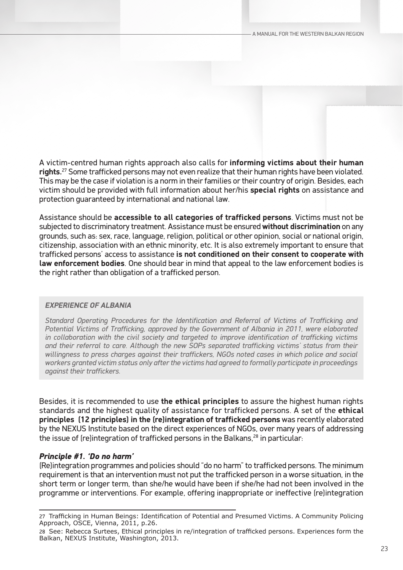A victim-centred human rights approach also calls for **informing victims about their human rights.**<sup>27</sup> Some trafficked persons may not even realize that their human rights have been violated. This may be the case if violation is a norm in their families or their country of origin. Besides, each victim should be provided with full information about her/his **special rights** on assistance and protection guaranteed by international and national law.

Assistance should be **accessible to all categories of trafficked persons**. Victims must not be subjected to discriminatory treatment. Assistance must be ensured **without discrimination** on any grounds, such as: sex, race, language, religion, political or other opinion, social or national origin, citizenship, association with an ethnic minority, etc. It is also extremely important to ensure that trafficked persons' access to assistance **is not conditioned on their consent to cooperate with law enforcement bodies**. One should bear in mind that appeal to the law enforcement bodies is the right rather than obligation of a trafficked person.

#### *EXPERIENCE OF ALBANIA*

*Standard Operating Procedures for the Identification and Referral of Victims of Trafficking and Potential Victims of Trafficking, approved by the Government of Albania in 2011, were elaborated in collaboration with the civil society and targeted to improve identification of trafficking victims and their referral to care. Although the new SOPs separated trafficking victims' status from their willingness to press charges against their traffickers, NGOs noted cases in which police and social workers granted victim status only after the victims had agreed to formally participate in proceedings against their traffickers.*

Besides, it is recommended to use **the ethical principles** to assure the highest human rights standards and the highest quality of assistance for trafficked persons. A set of the **ethical principles (12 principles) in the (re)integration of trafficked persons** was recently elaborated by the NEXUS Institute based on the direct experiences of NGOs, over many years of addressing the issue of (re)integration of trafficked persons in the Balkans,<sup>28</sup> in particular:

#### *Principle #1. 'Do no harm'*

(Re)integration programmes and policies should "do no harm" to trafficked persons. The minimum requirement is that an intervention must not put the trafficked person in a worse situation, in the short term or longer term, than she/he would have been if she/he had not been involved in the programme or interventions. For example, offering inappropriate or ineffective (re)integration

<sup>27</sup> Trafficking in Human Beings: Identification of Potential and Presumed Victims. A Community Policing Approach, OSCE, Vienna, 2011, p.26.

<sup>28</sup> See: Rebecca Surtees, Ethical principles in re/integration of trafficked persons. Experiences form the Balkan, NEXUS Institute, Washington, 2013.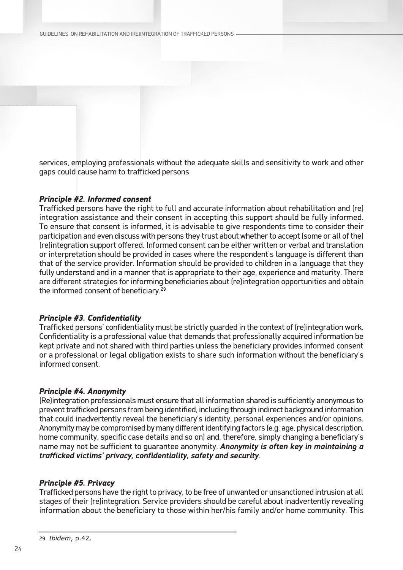services, employing professionals without the adequate skills and sensitivity to work and other gaps could cause harm to trafficked persons.

#### *Principle #2. Informed consent*

Trafficked persons have the right to full and accurate information about rehabilitation and (re) integration assistance and their consent in accepting this support should be fully informed. To ensure that consent is informed, it is advisable to give respondents time to consider their participation and even discuss with persons they trust about whether to accept (some or all of the) (re)integration support offered. Informed consent can be either written or verbal and translation or interpretation should be provided in cases where the respondent's language is different than that of the service provider. Information should be provided to children in a language that they fully understand and in a manner that is appropriate to their age, experience and maturity. There are different strategies for informing beneficiaries about (re)integration opportunities and obtain the informed consent of beneficiary.<sup>29</sup>

#### *Principle #3. Confidentiality*

Trafficked persons' confidentiality must be strictly guarded in the context of (re)integration work. Confidentiality is a professional value that demands that professionally acquired information be kept private and not shared with third parties unless the beneficiary provides informed consent or a professional or legal obligation exists to share such information without the beneficiary's informed consent.

#### *Principle #4. Anonymity*

(Re)integration professionals must ensure that all information shared is sufficiently anonymous to prevent trafficked persons from being identified, including through indirect background information that could inadvertently reveal the beneficiary's identity, personal experiences and/or opinions. Anonymity may be compromised by many different identifying factors (e.g. age, physical description, home community, specific case details and so on) and, therefore, simply changing a beneficiary's name may not be sufficient to guarantee anonymity. *Anonymity is often key in maintaining a trafficked victims' privacy, confidentiality, safety and security*.

#### *Principle #5. Privacy*

Trafficked persons have the right to privacy, to be free of unwanted or unsanctioned intrusion at all stages of their (re)integration. Service providers should be careful about inadvertently revealing information about the beneficiary to those within her/his family and/or home community. This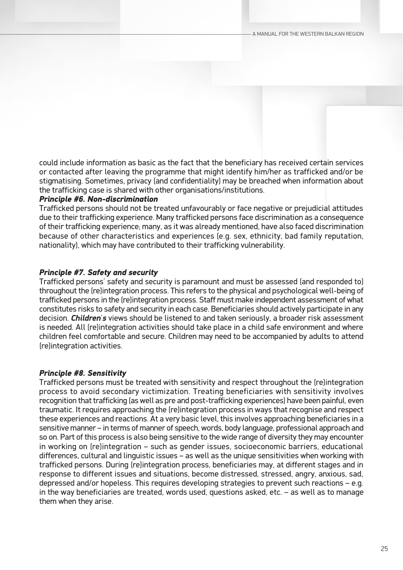could include information as basic as the fact that the beneficiary has received certain services or contacted after leaving the programme that might identify him/her as trafficked and/or be stigmatising. Sometimes, privacy (and confidentiality) may be breached when information about the trafficking case is shared with other organisations/institutions.

#### *Principle #6. Non-discrimination*

Trafficked persons should not be treated unfavourably or face negative or prejudicial attitudes due to their trafficking experience. Many trafficked persons face discrimination as a consequence of their trafficking experience; many, as it was already mentioned, have also faced discrimination because of other characteristics and experiences (e.g. sex, ethnicity, bad family reputation, nationality), which may have contributed to their trafficking vulnerability.

#### *Principle #7. Safety and security*

Trafficked persons' safety and security is paramount and must be assessed (and responded to) throughout the (re)integration process. This refers to the physical and psychological well-being of trafficked persons in the (re)integration process. Staff must make independent assessment of what constitutes risks to safety and security in each case. Beneficiaries should actively participate in any decision. *Children*'*s* views should be listened to and taken seriously, a broader risk assessment is needed. All (re)integration activities should take place in a child safe environment and where children feel comfortable and secure. Children may need to be accompanied by adults to attend (re)integration activities.

#### *Principle #8. Sensitivity*

Trafficked persons must be treated with sensitivity and respect throughout the (re)integration process to avoid secondary victimization. Treating beneficiaries with sensitivity involves recognition that trafficking (as well as pre and post-trafficking experiences) have been painful, even traumatic. It requires approaching the (re)integration process in ways that recognise and respect these experiences and reactions. At a very basic level, this involves approaching beneficiaries in a sensitive manner – in terms of manner of speech, words, body language, professional approach and so on. Part of this process is also being sensitive to the wide range of diversity they may encounter in working on (re)integration – such as gender issues, socioeconomic barriers, educational differences, cultural and linguistic issues – as well as the unique sensitivities when working with trafficked persons. During (re)integration process, beneficiaries may, at different stages and in response to different issues and situations, become distressed, stressed, angry, anxious, sad, depressed and/or hopeless. This requires developing strategies to prevent such reactions – e.g. in the way beneficiaries are treated, words used, questions asked, etc. – as well as to manage them when they arise.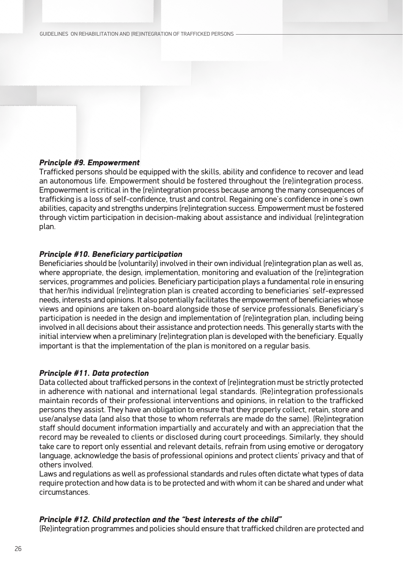#### *Principle #9. Empowerment*

Trafficked persons should be equipped with the skills, ability and confidence to recover and lead an autonomous life. Empowerment should be fostered throughout the (re)integration process. Empowerment is critical in the (re)integration process because among the many consequences of trafficking is a loss of self-confidence, trust and control. Regaining one's confidence in one's own abilities, capacity and strengths underpins (re)integration success. Empowerment must be fostered through victim participation in decision-making about assistance and individual (re)integration plan.

#### *Principle #10. Beneficiary participation*

Beneficiaries should be (voluntarily) involved in their own individual (re)integration plan as well as, where appropriate, the design, implementation, monitoring and evaluation of the (re)integration services, programmes and policies. Beneficiary participation plays a fundamental role in ensuring that her/his individual (re)integration plan is created according to beneficiaries' self-expressed needs, interests and opinions. It also potentially facilitates the empowerment of beneficiaries whose views and opinions are taken on-board alongside those of service professionals. Beneficiary's participation is needed in the design and implementation of (re)integration plan, including being involved in all decisions about their assistance and protection needs. This generally starts with the initial interview when a preliminary (re)integration plan is developed with the beneficiary. Equally important is that the implementation of the plan is monitored on a regular basis.

#### *Principle #11. Data protection*

Data collected about trafficked persons in the context of (re)integration must be strictly protected in adherence with national and international legal standards. (Re)integration professionals maintain records of their professional interventions and opinions, in relation to the trafficked persons they assist. They have an obligation to ensure that they properly collect, retain, store and use/analyse data (and also that those to whom referrals are made do the same). (Re)integration staff should document information impartially and accurately and with an appreciation that the record may be revealed to clients or disclosed during court proceedings. Similarly, they should take care to report only essential and relevant details, refrain from using emotive or derogatory language, acknowledge the basis of professional opinions and protect clients' privacy and that of others involved.

Laws and regulations as well as professional standards and rules often dictate what types of data require protection and how data is to be protected and with whom it can be shared and under what circumstances.

#### *Principle #12. Child protection and the "best interests of the child"*

(Re)integration programmes and policies should ensure that trafficked children are protected and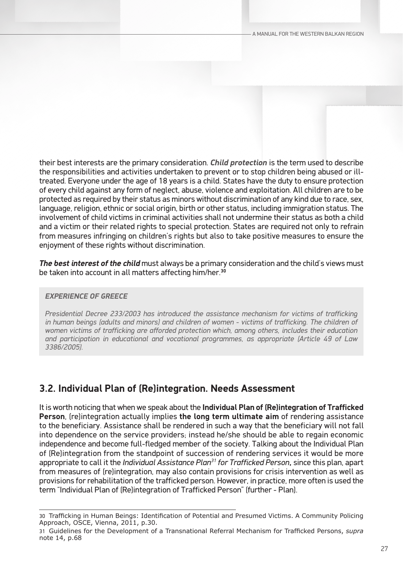their best interests are the primary consideration. *Child protection* is the term used to describe the responsibilities and activities undertaken to prevent or to stop children being abused or illtreated. Everyone under the age of 18 years is a child. States have the duty to ensure protection of every child against any form of neglect, abuse, violence and exploitation. All children are to be protected as required by their status as minors without discrimination of any kind due to race, sex, language, religion, ethnic or social origin, birth or other status, including immigration status. The involvement of child victims in criminal activities shall not undermine their status as both a child and a victim or their related rights to special protection. States are required not only to refrain from measures infringing on children's rights but also to take positive measures to ensure the enjoyment of these rights without discrimination.

**The best interest of the child** must always be a primary consideration and the child's views must be taken into account in all matters affecting him/her.**<sup>30</sup>**

#### *EXPERIENCE OF GREECE*

*Presidential Decree 233/2003 has introduced the assistance mechanism for victims of trafficking*  in human beings (adults and minors) and children of women - victims of trafficking. The children of *women victims of trafficking are afforded protection which, among others, includes their education and participation in educational and vocational programmes, as appropriate (Article 49 of Law 3386/2005).* 

## **3.2. Individual Plan of (Re)integration. Needs Assessment**

It is worth noticing that when we speak about the **Individual Plan of (Re)integration of Trafficked Person**, (re)integration actually implies **the long term ultimate aim** of rendering assistance to the beneficiary. Assistance shall be rendered in such a way that the beneficiary will not fall into dependence on the service providers; instead he/she should be able to regain economic independence and become full-fledged member of the society. Talking about the Individual Plan of (Re)integration from the standpoint of succession of rendering services it would be more appropriate to call it the *Individual Assistance Plan31 for Trafficked Person***,** since this plan, apart from measures of (re)integration, may also contain provisions for crisis intervention as well as provisions for rehabilitation of the trafficked person. However, in practice, more often is used the term "Individual Plan of (Re)integration of Trafficked Person" (further - Plan).

<sup>30</sup> Trafficking in Human Beings: Identification of Potential and Presumed Victims. A Community Policing Approach, OSCE, Vienna, 2011, p.30.

<sup>31</sup> Guidelines for the Development of a Transnational Referral Mechanism for Trafficked Persons, *supra* note 14, p.68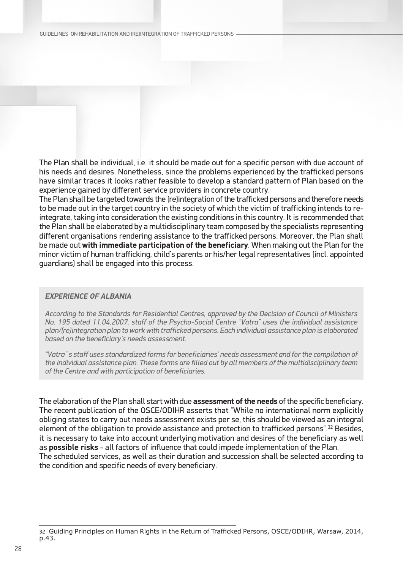The Plan shall be individual, i.e. it should be made out for a specific person with due account of his needs and desires. Nonetheless, since the problems experienced by the trafficked persons have similar traces it looks rather feasible to develop a standard pattern of Plan based on the experience gained by different service providers in concrete country.

The Plan shall be targeted towards the (re)integration of the trafficked persons and therefore needs to be made out in the target country in the society of which the victim of trafficking intends to reintegrate, taking into consideration the existing conditions in this country. It is recommended that the Plan shall be elaborated by a multidisciplinary team composed by the specialists representing different organisations rendering assistance to the trafficked persons. Moreover, the Plan shall be made out **with immediate participation of the beneficiary**. When making out the Plan for the minor victim of human trafficking, child's parents or his/her legal representatives (incl. appointed guardians) shall be engaged into this process.

#### *EXPERIENCE OF ALBANIA*

*According to the Standards for Residential Centres, approved by the Decision of Council of Ministers No. 195 dated 11.04.2007, staff of the Psycho-Social Centre "Vatra" uses the individual assistance plan/(re)integration plan to work with trafficked persons. Each individual assistance plan is elaborated based on the beneficiary's needs assessment.* 

*"Vatra" s staff uses standardized forms for beneficiaries' needs assessment and for the compilation of the individual assistance plan. These forms are filled out by all members of the multidisciplinary team of the Centre and with participation of beneficiaries.*

The elaboration of the Plan shall start with due **assessment of the needs** of the specific beneficiary. The recent publication of the OSCE/ODIHR asserts that "While no international norm explicitly obliging states to carry out needs assessment exists per se, this should be viewed as an integral element of the obligation to provide assistance and protection to trafficked persons".<sup>32</sup> Besides, it is necessary to take into account underlying motivation and desires of the beneficiary as well as **possible risks** - all factors of influence that could impede implementation of the Plan. The scheduled services, as well as their duration and succession shall be selected according to the condition and specific needs of every beneficiary.

<sup>32</sup> Guiding Principles on Human Rights in the Return of Trafficked Persons, OSCE/ODIHR, Warsaw, 2014, p.43.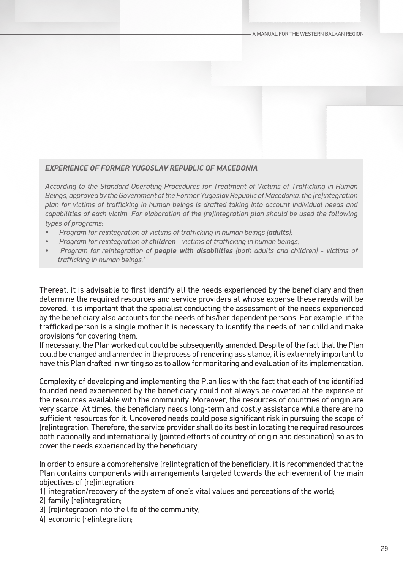#### *EXPERIENCE OF Former Yugoslav Republic of Macedonia*

*According to the Standard Operating Procedures for Treatment of Victims of Trafficking in Human Beings, approved by the Government of the Former Yugoslav Republic of Macedonia, the (re)integration plan for victims of trafficking in human beings is drafted taking into account individual needs and capabilities of each victim. For elaboration of the (re)integration plan should be used the following types of programs:*

- *Program for reintegration of victims of trafficking in human beings (<i>adults*);
- *• Program for reintegration of children victims of trafficking in human beings;*
- *• Program for reintegration of people with disabilities (both adults and children) victims of trafficking in human beings.4*

Thereat, it is advisable to first identify all the needs experienced by the beneficiary and then determine the required resources and service providers at whose expense these needs will be covered. It is important that the specialist conducting the assessment of the needs experienced by the beneficiary also accounts for the needs of his/her dependent persons. For example, if the trafficked person is a single mother it is necessary to identify the needs of her child and make provisions for covering them.

If necessary, the Plan worked out could be subsequently amended. Despite of the fact that the Plan could be changed and amended in the process of rendering assistance, it is extremely important to have this Plan drafted in writing so as to allow for monitoring and evaluation of its implementation.

Complexity of developing and implementing the Plan lies with the fact that each of the identified founded need experienced by the beneficiary could not always be covered at the expense of the resources available with the community. Moreover, the resources of countries of origin are very scarce. At times, the beneficiary needs long-term and costly assistance while there are no sufficient resources for it. Uncovered needs could pose significant risk in pursuing the scope of (re)integration. Therefore, the service provider shall do its best in locating the required resources both nationally and internationally (jointed efforts of country of origin and destination) so as to cover the needs experienced by the beneficiary.

In order to ensure a comprehensive (re)integration of the beneficiary, it is recommended that the Plan contains components with arrangements targeted towards the achievement of the main objectives of (re)integration:

- 1) integration/recovery of the system of one's vital values and perceptions of the world;
- 2) family (re)integration;
- 3) (re)integration into the life of the community;
- 4) economic (re)integration;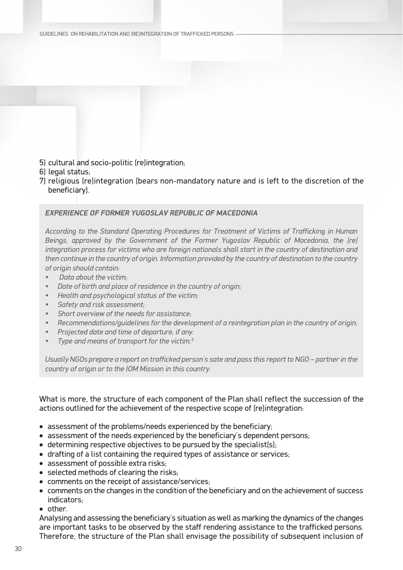- 5) cultural and socio-politic (re)integration;
- 6) legal status;
- 7) religious (re)integration (bears non-mandatory nature and is left to the discretion of the beneficiary).

#### *EXPERIENCE OF FORMER YUGOSLAV REPUBLIC OF MACEDONIA*

*According to the Standard Operating Procedures for Treatment of Victims of Trafficking in Human Beings, approved by the Government of the Former Yugoslav Republic of Macedonia, the (re) integration process for victims who are foreign nationals shall start in the country of destination and then continue in the country of origin*. *Information provided by the country of destination to the country of origin should contain:*

- *• Data about the victim;*
- *Date of birth and place of residence in the country of origin;*
- *• Health and psychological status of the victim;*
- *• Safety and risk assessment;*
- *• Short overview of the needs for assistance;*
- *• Recommendations/guidelines for the development of a reintegration plan in the country of origin;*
- *• Projected date and time of departure, if any.*
- *• Type and means of transport for the victim.5*

*Usually NGOs prepare a report on trafficked person's sate and pass this report to NGO – partner in the country of origin or to the IOM Mission in this country.* 

What is more, the structure of each component of the Plan shall reflect the succession of the actions outlined for the achievement of the respective scope of (re)integration:

- assessment of the problems/needs experienced by the beneficiary;
- assessment of the needs experienced by the beneficiary's dependent persons;
- $\bullet$  determining respective objectives to be pursued by the specialist(s);
- drafting of a list containing the required types of assistance or services;
- assessment of possible extra risks:
- selected methods of clearing the risks;
- comments on the receipt of assistance/services;
- comments on the changes in the condition of the beneficiary and on the achievement of success indicators;

• other.

Analysing and assessing the beneficiary's situation as well as marking the dynamics of the changes are important tasks to be observed by the staff rendering assistance to the trafficked persons. Therefore, the structure of the Plan shall envisage the possibility of subsequent inclusion of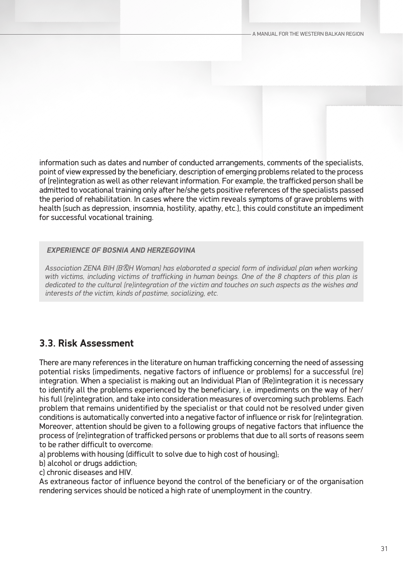information such as dates and number of conducted arrangements, comments of the specialists, point of view expressed by the beneficiary, description of emerging problems related to the process of (re)integration as well as other relevant information. For example, the trafficked person shall be admitted to vocational training only after he/she gets positive references of the specialists passed the period of rehabilitation. In cases where the victim reveals symptoms of grave problems with health (such as depression, insomnia, hostility, apathy, etc.), this could constitute an impediment for successful vocational training.

#### *EXPERIENCE OF BOSNIA AND HERZEGOVINA*

*Association ZENA BIH (B&H Woman) has elaborated a special form of individual plan when working with victims, including victims of trafficking in human beings. One of the 8 chapters of this plan is dedicated to the cultural (re)integration of the victim and touches on such aspects as the wishes and interests of the victim, kinds of pastime, socializing, etc.* 

## **3.3. Risk Assessment**

There are many references in the literature on human trafficking concerning the need of assessing potential risks (impediments, negative factors of influence or problems) for a successful (re) integration. When a specialist is making out an Individual Plan of (Re)integration it is necessary to identify all the problems experienced by the beneficiary, i.e. impediments on the way of her/ his full (re)integration, and take into consideration measures of overcoming such problems. Each problem that remains unidentified by the specialist or that could not be resolved under given conditions is automatically converted into a negative factor of influence or risk for (re)integration. Moreover, attention should be given to a following groups of negative factors that influence the process of (re)integration of trafficked persons or problems that due to all sorts of reasons seem to be rather difficult to overcome:

a) problems with housing (difficult to solve due to high cost of housing);

b) alcohol or drugs addiction;

c) chronic diseases and HIV.

As extraneous factor of influence beyond the control of the beneficiary or of the organisation rendering services should be noticed a high rate of unemployment in the country.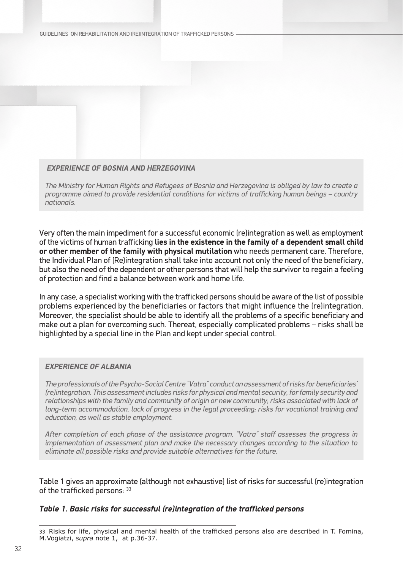#### *EXPERIENCE OF BOSNIA AND HERZEGOVINA*

*The Ministry for Human Rights and Refugees of Bosnia and Herzegovina is obliged by law to create a programme aimed to provide residential conditions for victims of trafficking human beings – country nationals.* 

Very often the main impediment for a successful economic (re)integration as well as employment of the victims of human trafficking **lies in the existence in the family of a dependent small child or other member of the family with physical mutilation** who needs permanent care. Therefore, the Individual Plan of (Re)integration shall take into account not only the need of the beneficiary, but also the need of the dependent or other persons that will help the survivor to regain a feeling of protection and find a balance between work and home life.

In any case, a specialist working with the trafficked persons should be aware of the list of possible problems experienced by the beneficiaries or factors that might influence the (re)integration. Moreover, the specialist should be able to identify all the problems of a specific beneficiary and make out a plan for overcoming such. Thereat, especially complicated problems – risks shall be highlighted by a special line in the Plan and kept under special control.

#### *EXPERIENCE OF ALBANIA*

*The professionals of the Psycho-Social Centre "Vatra" conduct an assessment of risks for beneficiaries' (re)integration. This assessment includes risks for physical and mental security, for family security and relationships with the family and community of origin or new community; risks associated with lack of long-term accommodation, lack of progress in the legal proceeding; risks for vocational training and education, as well as stable employment.*

*After completion of each phase of the assistance program, "Vatra" staff assesses the progress in implementation of assessment plan and make the necessary changes according to the situation to eliminate all possible risks and provide suitable alternatives for the future.* 

Table 1 gives an approximate (although not exhaustive) list of risks for successful (re)integration of the trafficked persons: 33

#### *Table 1. Basic risks for successful (re)integration of the trafficked persons*

33 Risks for life, physical and mental health of the trafficked persons also are described in T. Fomina, M.Vogiatzi, *supra* note 1, at p.36-37.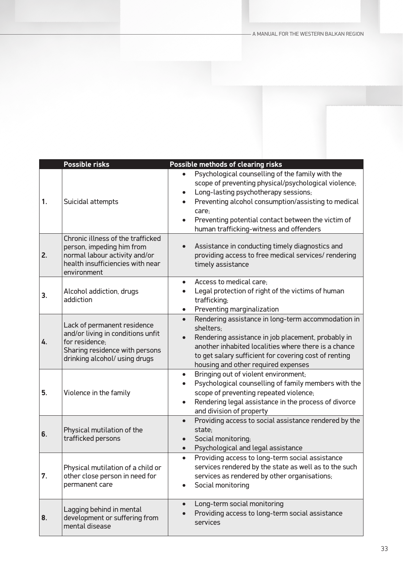- A MANUAL FOR THE WESTERN BALKAN REGION

|    | Possible risks                                                                                                                                        | <b>Possible methods of clearing risks</b>                                                                                                                                                                                                                                                                                                   |
|----|-------------------------------------------------------------------------------------------------------------------------------------------------------|---------------------------------------------------------------------------------------------------------------------------------------------------------------------------------------------------------------------------------------------------------------------------------------------------------------------------------------------|
| 1. | Suicidal attempts                                                                                                                                     | Psychological counselling of the family with the<br>scope of preventing physical/psychological violence;<br>Long-lasting psychotherapy sessions;<br>$\bullet$<br>Preventing alcohol consumption/assisting to medical<br>care;<br>Preventing potential contact between the victim of<br>$\bullet$<br>human trafficking-witness and offenders |
| 2. | Chronic illness of the trafficked<br>person, impeding him from<br>normal labour activity and/or<br>health insufficiencies with near<br>environment    | Assistance in conducting timely diagnostics and<br>$\bullet$<br>providing access to free medical services/ rendering<br>timely assistance                                                                                                                                                                                                   |
| 3. | Alcohol addiction, drugs<br>addiction                                                                                                                 | Access to medical care:<br>$\bullet$<br>Legal protection of right of the victims of human<br>trafficking;<br>Preventing marginalization<br>$\bullet$                                                                                                                                                                                        |
| 4. | Lack of permanent residence<br>and/or living in conditions unfit<br>for residence:<br>Sharing residence with persons<br>drinking alcohol/ using drugs | Rendering assistance in long-term accommodation in<br>$\bullet$<br>shelters:<br>Rendering assistance in job placement, probably in<br>$\bullet$<br>another inhabited localities where there is a chance<br>to get salary sufficient for covering cost of renting<br>housing and other required expenses                                     |
| 5. | Violence in the family                                                                                                                                | Bringing out of violent environment;<br>$\bullet$<br>Psychological counselling of family members with the<br>$\bullet$<br>scope of preventing repeated violence;<br>Rendering legal assistance in the process of divorce<br>$\bullet$<br>and division of property                                                                           |
| 6. | Physical mutilation of the<br>trafficked persons                                                                                                      | Providing access to social assistance rendered by the<br>$\bullet$<br>state;<br>Social monitoring;<br>$\bullet$<br>Psychological and legal assistance<br>$\bullet$                                                                                                                                                                          |
| 7. | Physical mutilation of a child or<br>other close person in need for<br>permanent care                                                                 | Providing access to long-term social assistance<br>$\bullet$<br>services rendered by the state as well as to the such<br>services as rendered by other organisations;<br>Social monitoring<br>$\bullet$                                                                                                                                     |
| 8. | Lagging behind in mental<br>development or suffering from<br>mental disease                                                                           | Long-term social monitoring<br>Providing access to long-term social assistance<br>services                                                                                                                                                                                                                                                  |

ri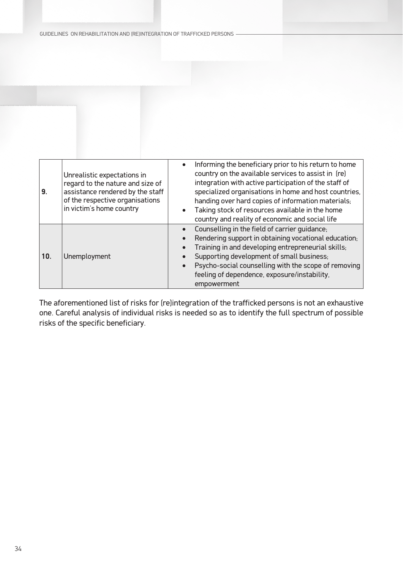Guidelines on Rehabilitation and (Re)integration of Trafficked Persons

| 9.  | Unrealistic expectations in<br>regard to the nature and size of<br>assistance rendered by the staff<br>of the respective organisations<br>in victim's home country | Informing the beneficiary prior to his return to home<br>$\bullet$<br>country on the available services to assist in (re)<br>integration with active participation of the staff of<br>specialized organisations in home and host countries,<br>handing over hard copies of information materials;<br>Taking stock of resources available in the home<br>$\bullet$<br>country and reality of economic and social life |
|-----|--------------------------------------------------------------------------------------------------------------------------------------------------------------------|----------------------------------------------------------------------------------------------------------------------------------------------------------------------------------------------------------------------------------------------------------------------------------------------------------------------------------------------------------------------------------------------------------------------|
| 10. | Unemployment                                                                                                                                                       | Counselling in the field of carrier guidance;<br>Rendering support in obtaining vocational education;<br>Training in and developing entrepreneurial skills;<br>Supporting development of small business;<br>Psycho-social counselling with the scope of removing<br>$\bullet$<br>feeling of dependence, exposure/instability,<br>empowerment                                                                         |

The aforementioned list of risks for (re)integration of the trafficked persons is not an exhaustive one. Careful analysis of individual risks is needed so as to identify the full spectrum of possible risks of the specific beneficiary.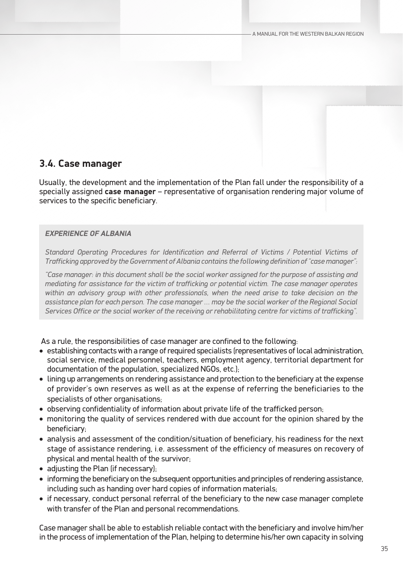## **3.4. Case manager**

Usually, the development and the implementation of the Plan fall under the responsibility of a specially assigned **case manager** – representative of organisation rendering major volume of services to the specific beneficiary.

#### *EXPERIENCE OF ALBANIA*

*Standard Operating Procedures for Identification and Referral of Victims / Potential Victims of Trafficking approved by the Government of Albania contains the following definition of "case manager":*

*"Case manager: in this document shall be the social worker assigned for the purpose of assisting and mediating for assistance for the victim of trafficking or potential victim. The case manager operates within an advisory group with other professionals, when the need arise to take decision on the assistance plan for each person. The case manager … may be the social worker of the Regional Social Services Office or the social worker of the receiving or rehabilitating centre for victims of trafficking".*

As a rule, the responsibilities of case manager are confined to the following:

- establishing contacts with a range of required specialists (representatives of local administration, social service, medical personnel, teachers, employment agency, territorial department for documentation of the population, specialized NGOs, etc.);
- lining up arrangements on rendering assistance and protection to the beneficiary at the expense of provider's own reserves as well as at the expense of referring the beneficiaries to the specialists of other organisations;
- observing confidentiality of information about private life of the trafficked person;
- monitoring the quality of services rendered with due account for the opinion shared by the beneficiary;
- analysis and assessment of the condition/situation of beneficiary, his readiness for the next stage of assistance rendering, i.e. assessment of the efficiency of measures on recovery of physical and mental health of the survivor;
- adjusting the Plan (if necessary);
- informing the beneficiary on the subsequent opportunities and principles of rendering assistance, including such as handing over hard copies of information materials;
- if necessary, conduct personal referral of the beneficiary to the new case manager complete with transfer of the Plan and personal recommendations.

Case manager shall be able to establish reliable contact with the beneficiary and involve him/her in the process of implementation of the Plan, helping to determine his/her own capacity in solving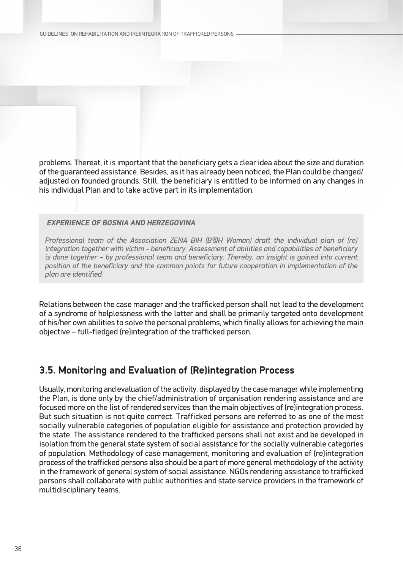problems. Thereat, it is important that the beneficiary gets a clear idea about the size and duration of the guaranteed assistance. Besides, as it has already been noticed, the Plan could be changed/ adjusted on founded grounds. Still, the beneficiary is entitled to be informed on any changes in his individual Plan and to take active part in its implementation.

#### *EXPERIENCE OF BOSNIA AND HERZEGOVINA*

*Professional team of the Association ZENA BIH (B&H Woman) draft the individual plan of (re) integration together with victim - beneficiary. Assessment of abilities and capabilities of beneficiary is done together – by professional team and beneficiary. Thereby, an insight is gained into current position of the beneficiary and the common points for future cooperation in implementation of the plan are identified.* 

Relations between the case manager and the trafficked person shall not lead to the development of a syndrome of helplessness with the latter and shall be primarily targeted onto development of his/her own abilities to solve the personal problems, which finally allows for achieving the main objective – full-fledged (re)integration of the trafficked person.

### **3.5. Monitoring and Evaluation of (Re)integration Process**

Usually, monitoring and evaluation of the activity, displayed by the case manager while implementing the Plan, is done only by the chief/administration of organisation rendering assistance and are focused more on the list of rendered services than the main objectives of (re)integration process. But such situation is not quite correct. Trafficked persons are referred to as one of the most socially vulnerable categories of population eligible for assistance and protection provided by the state. The assistance rendered to the trafficked persons shall not exist and be developed in isolation from the general state system of social assistance for the socially vulnerable categories of population. Methodology of case management, monitoring and evaluation of (re)integration process of the trafficked persons also should be a part of more general methodology of the activity in the framework of general system of social assistance. NGOs rendering assistance to trafficked persons shall collaborate with public authorities and state service providers in the framework of multidisciplinary teams.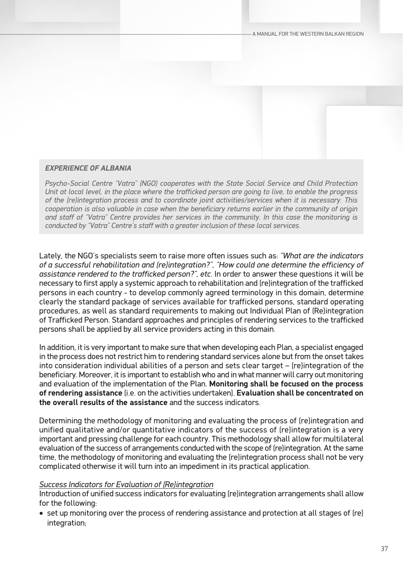#### *EXPERIENCE OF ALBANIA*

*Psycho-Social Centre "Vatra" (NGO) cooperates with the State Social Service and Child Protection Unit at local level, in the place where the trafficked person are going to live, to enable the progress of the (re)integration process and to coordinate joint activities/services when it is necessary. This cooperation is also valuable in case when the beneficiary returns earlier in the community of origin and staff of "Vatra" Centre provides her services in the community. In this case the monitoring is conducted by "Vatra" Centre's staff with a greater inclusion of these local services.*

Lately, the NGO's specialists seem to raise more often issues such as: *"What are the indicators of a successful rehabilitation and (re)integration?", "How could one determine the efficiency of assistance rendered to the trafficked person?", etc*. In order to answer these questions it will be necessary to first apply a systemic approach to rehabilitation and (re)integration of the trafficked persons in each country - to develop commonly agreed terminology in this domain, determine clearly the standard package of services available for trafficked persons, standard operating procedures, as well as standard requirements to making out Individual Plan of (Re)integration of Trafficked Person. Standard approaches and principles of rendering services to the trafficked persons shall be applied by all service providers acting in this domain.

In addition, it is very important to make sure that when developing each Plan, a specialist engaged in the process does not restrict him to rendering standard services alone but from the onset takes into consideration individual abilities of a person and sets clear target – (re)integration of the beneficiary. Moreover, it is important to establish who and in what manner will carry out monitoring and evaluation of the implementation of the Plan. **Monitoring shall be focused on the process of rendering assistance** (i.e. on the activities undertaken). **Evaluation shall be concentrated on the overall results of the assistance** and the success indicators.

Determining the methodology of monitoring and evaluating the process of (re)integration and unified qualitative and/or quantitative indicators of the success of (re)integration is a very important and pressing challenge for each country. This methodology shall allow for multilateral evaluation of the success of arrangements conducted with the scope of (re)integration. At the same time, the methodology of monitoring and evaluating the (re)integration process shall not be very complicated otherwise it will turn into an impediment in its practical application.

#### *Success Indicators for Evaluation of (Re)integration*

Introduction of unified success indicators for evaluating (re)integration arrangements shall allow for the following:

• set up monitoring over the process of rendering assistance and protection at all stages of (re) integration;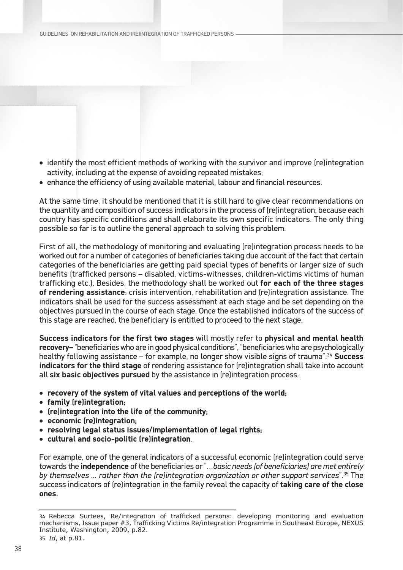- identify the most efficient methods of working with the survivor and improve (re)integration activity, including at the expense of avoiding repeated mistakes;
- enhance the efficiency of using available material, labour and financial resources.

At the same time, it should be mentioned that it is still hard to give clear recommendations on the quantity and composition of success indicators in the process of (re)integration, because each country has specific conditions and shall elaborate its own specific indicators. The only thing possible so far is to outline the general approach to solving this problem.

First of all, the methodology of monitoring and evaluating (re)integration process needs to be worked out for a number of categories of beneficiaries taking due account of the fact that certain categories of the beneficiaries are getting paid special types of benefits or larger size of such benefits (trafficked persons – disabled, victims-witnesses, children-victims victims of human trafficking etc.). Besides, the methodology shall be worked out **for each of the three stages of rendering assistance**: crisis intervention, rehabilitation and (re)integration assistance. The indicators shall be used for the success assessment at each stage and be set depending on the objectives pursued in the course of each stage. Once the established indicators of the success of this stage are reached, the beneficiary is entitled to proceed to the next stage.

**Success indicators for the first two stages** will mostly refer to **physical and mental health recovery–** "beneficiaries who are in good physical conditions", "beneficiaries who are psychologically healthy following assistance – for example, no longer show visible signs of trauma".34 **Success indicators for the third stage** of rendering assistance for (re)integration shall take into account all **six basic objectives pursued** by the assistance in (re)integration process:

- • **recovery of the system of vital values and perceptions of the world;**
- • **family (re)integration;**
- • **(re)integration into the life of the community;**
- • **economic (re)integration;**
- • **resolving legal status issues/implementation of legal rights;**
- • **cultural and socio-politic (re)integration**.

For example, one of the general indicators of a successful economic (re)integration could serve towards the **independence** of the beneficiaries or "…*basic needs (of beneficiaries) are met entirely by themselves ... rather than the (re)integration organization or other support services*".35 The success indicators of (re)integration in the family reveal the capacity of **taking care of the close ones.**

<sup>34</sup> Rebecca Surtees, Re/integration of trafficked persons: developing monitoring and evaluation mechanisms, Issue paper #3, Trafficking Victims Re/integration Programme in Southeast Europe, NEXUS Institute, Washington, 2009, p.82.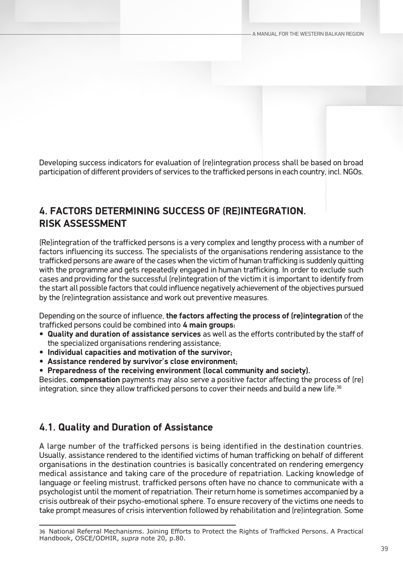Developing success indicators for evaluation of (re)integration process shall be based on broad participation of different providers of services to the trafficked persons in each country, incl. NGOs.

## **4. Factors Determining Success of (Re)integration. Risk Assessment**

(Re)integration of the trafficked persons is a very complex and lengthy process with a number of factors influencing its success. The specialists of the organisations rendering assistance to the trafficked persons are aware of the cases when the victim of human trafficking is suddenly quitting with the programme and gets repeatedly engaged in human trafficking. In order to exclude such cases and providing for the successful (re)integration of the victim it is important to identify from the start all possible factors that could influence negatively achievement of the objectives pursued by the (re)integration assistance and work out preventive measures.

Depending on the source of influence, **the factors affecting the process of (re)integration** of the trafficked persons could be combined into **4 main groups:** 

- **• Quality and duration of assistance services** as well as the efforts contributed by the staff of the specialized organisations rendering assistance;
- **• Individual capacities and motivation of the survivor;**
- **• Assistance rendered by survivor's close environment;**
- **• Preparedness of the receiving environment (local community and society).**

Besides, **compensation** payments may also serve a positive factor affecting the process of (re) integration, since they allow trafficked persons to cover their needs and build a new life. $36$ 

## **4.1. Quality and Duration of Assistance**

A large number of the trafficked persons is being identified in the destination countries. Usually, assistance rendered to the identified victims of human trafficking on behalf of different organisations in the destination countries is basically concentrated on rendering emergency medical assistance and taking care of the procedure of repatriation. Lacking knowledge of language or feeling mistrust, trafficked persons often have no chance to communicate with a psychologist until the moment of repatriation. Their return home is sometimes accompanied by a crisis outbreak of their psycho-emotional sphere. To ensure recovery of the victims one needs to take prompt measures of crisis intervention followed by rehabilitation and (re)integration. Some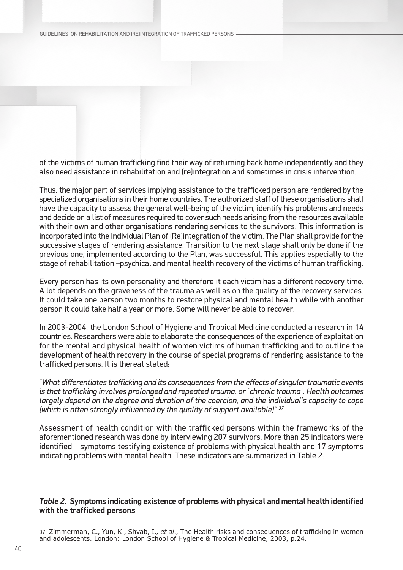of the victims of human trafficking find their way of returning back home independently and they also need assistance in rehabilitation and (re)integration and sometimes in crisis intervention.

Thus, the major part of services implying assistance to the trafficked person are rendered by the specialized organisations in their home countries. The authorized staff of these organisations shall have the capacity to assess the general well-being of the victim, identify his problems and needs and decide on a list of measures required to cover such needs arising from the resources available with their own and other organisations rendering services to the survivors. This information is incorporated into the Individual Plan of (Re)integration of the victim. The Plan shall provide for the successive stages of rendering assistance. Transition to the next stage shall only be done if the previous one, implemented according to the Plan, was successful. This applies especially to the stage of rehabilitation –psychical and mental health recovery of the victims of human trafficking.

Every person has its own personality and therefore it each victim has a different recovery time. A lot depends on the graveness of the trauma as well as on the quality of the recovery services. It could take one person two months to restore physical and mental health while with another person it could take half a year or more. Some will never be able to recover.

In 2003-2004, the London School of Hygiene and Tropical Medicine conducted a research in 14 countries. Researchers were able to elaborate the consequences of the experience of exploitation for the mental and physical health of women victims of human trafficking and to outline the development of health recovery in the course of special programs of rendering assistance to the trafficked persons. It is thereat stated:

*"What differentiates trafficking and its consequences from the effects of singular traumatic events is that trafficking involves prolonged and repeated trauma, or "chronic trauma". Health outcomes largely depend on the degree and duration of the coercion, and the individual's capacity to cope (which is often strongly influenced by the quality of support available)".37*

Assessment of health condition with the trafficked persons within the frameworks of the aforementioned research was done by interviewing 207 survivors. More than 25 indicators were identified – symptoms testifying existence of problems with physical health and 17 symptoms indicating problems with mental health. These indicators are summarized in Table 2:

#### *Table 2.* **Symptoms indicating existence of problems with physical and mental health identified with the trafficked persons**

<sup>37</sup> Zimmerman, C., Yun, K., Shvab, I., *et al*., The Health risks and consequences of trafficking in women and adolescents. London: London School of Hygiene & Tropical Medicine, 2003, p.24.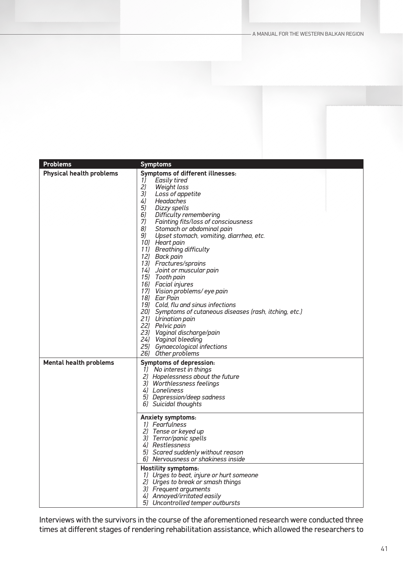| <b>Problems</b>                 | <b>Symptoms</b>                                                                                                                                                                                                                                                                                                                                                                                                                                                                                                                                                                                                                                                                                                                                                                               |
|---------------------------------|-----------------------------------------------------------------------------------------------------------------------------------------------------------------------------------------------------------------------------------------------------------------------------------------------------------------------------------------------------------------------------------------------------------------------------------------------------------------------------------------------------------------------------------------------------------------------------------------------------------------------------------------------------------------------------------------------------------------------------------------------------------------------------------------------|
| <b>Physical health problems</b> | <b>Symptoms of different illnesses:</b><br>1]<br>Easily tired<br>2)<br>Weight loss<br>3)<br>Loss of appetite<br>4)<br>Headaches<br>5)<br>Dizzy spells<br>6)<br>Difficulty remembering<br>7)<br>Fainting fits/loss of consciousness<br>8)<br>Stomach or abdominal pain<br>9)<br>Upset stomach, vomiting, diarrhea, etc.<br>10) Heart pain<br>11) Breathing difficulty<br>12) Back pain<br>13) Fractures/sprains<br>14) Joint or muscular pain<br>15) Tooth pain<br>16) Facial injures<br>17) Vision problems/ eye pain<br>18) Ear Pain<br>19) Cold, flu and sinus infections<br>20) Symptoms of cutaneous diseases (rash, itching, etc.)<br>21) Urination pain<br>22) Pelvic pain<br>23) Vaginal discharge/pain<br>24) Vaginal bleeding<br>25) Gynaecological infections<br>26) Other problems |
| <b>Mental health problems</b>   | <b>Symptoms of depression:</b><br>1) No interest in things<br>2) Hopelessness about the future<br>3) Worthlessness feelings<br>4) Loneliness<br>5) Depression/deep sadness<br>6) Suicidal thoughts<br><b>Anxiety symptoms:</b><br>11 Fearfulness<br>2) Tense or keyed up<br>3) Terror/panic spells<br>4) Restlessness<br>5) Scared suddenly without reason<br>6) Nervousness or shakiness inside<br>Hostility symptoms:                                                                                                                                                                                                                                                                                                                                                                       |
|                                 | 1) Urges to beat, injure or hurt someone<br>2) Urges to break or smash things<br>3) Frequent arguments<br>4) Annoyed/irritated easily<br>5) Uncontrolled temper outbursts                                                                                                                                                                                                                                                                                                                                                                                                                                                                                                                                                                                                                     |

Interviews with the survivors in the course of the aforementioned research were conducted three times at different stages of rendering rehabilitation assistance, which allowed the researchers to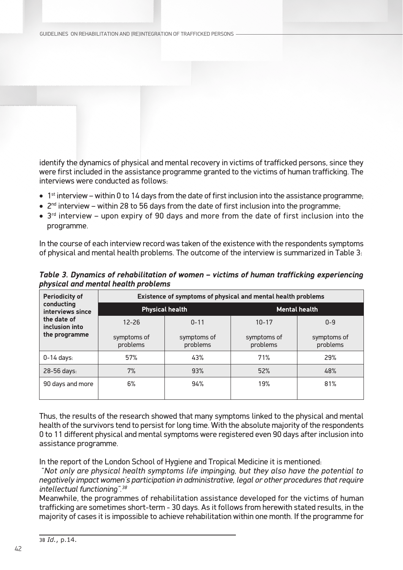identify the dynamics of physical and mental recovery in victims of trafficked persons, since they were first included in the assistance programme granted to the victims of human trafficking. The interviews were conducted as follows:

- $\bullet$  1<sup>st</sup> interview within 0 to 14 days from the date of first inclusion into the assistance programme;
- $\bullet$  2<sup>nd</sup> interview within 28 to 56 days from the date of first inclusion into the programme;
- $\bullet$  3<sup>rd</sup> interview upon expiry of 90 days and more from the date of first inclusion into the programme.

In the course of each interview record was taken of the existence with the respondents symptoms of physical and mental health problems. The outcome of the interview is summarized in Table 3:

*Table 3. Dynamics of rehabilitation of women – victims of human trafficking experiencing physical and mental health problems* 

| <b>Periodicity of</b>          | Existence of symptoms of physical and mental health problems |                         |                         |                         |  |
|--------------------------------|--------------------------------------------------------------|-------------------------|-------------------------|-------------------------|--|
| conducting<br>interviews since | <b>Physical health</b>                                       |                         | <b>Mental health</b>    |                         |  |
| the date of<br>inclusion into  | $12 - 26$                                                    | $0 - 11$                | $10 - 17$               | $0 - 9$                 |  |
| the programme                  | symptoms of<br>problems                                      | symptoms of<br>problems | symptoms of<br>problems | symptoms of<br>problems |  |
| $0-14$ days:                   | 57%                                                          | 43%                     | 71%                     | 29%                     |  |
| 28-56 days:                    | 7%                                                           | 93%                     | 52%                     | 48%                     |  |
| 90 days and more               | 6%                                                           | 94%                     | 19%                     | 81%                     |  |

Thus, the results of the research showed that many symptoms linked to the physical and mental health of the survivors tend to persist for long time. With the absolute majority of the respondents 0 to 11 different physical and mental symptoms were registered even 90 days after inclusion into assistance programme.

In the report of the London School of Hygiene and Tropical Medicine it is mentioned:

 "*Not only are physical health symptoms life impinging, but they also have the potential to negatively impact women's participation in administrative, legal or other procedures that require intellectual functioning".38*

Meanwhile, the programmes of rehabilitation assistance developed for the victims of human trafficking are sometimes short-term - 30 days. As it follows from herewith stated results, in the majority of cases it is impossible to achieve rehabilitation within one month. If the programme for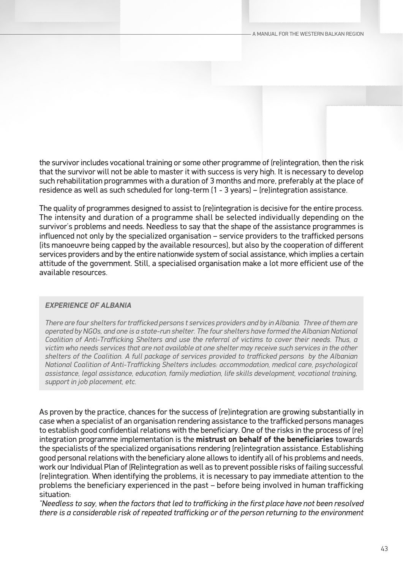the survivor includes vocational training or some other programme of (re)integration, then the risk that the survivor will not be able to master it with success is very high. It is necessary to develop such rehabilitation programmes with a duration of 3 months and more, preferably at the place of residence as well as such scheduled for long-term (1 - 3 years) – (re)integration assistance.

The quality of programmes designed to assist to (re)integration is decisive for the entire process. The intensity and duration of a programme shall be selected individually depending on the survivor's problems and needs. Needless to say that the shape of the assistance programmes is influenced not only by the specialized organisation – service providers to the trafficked persons (its manoeuvre being capped by the available resources), but also by the cooperation of different services providers and by the entire nationwide system of social assistance, which implies a certain attitude of the government. Still, a specialised organisation make a lot more efficient use of the available resources.

#### *EXPERIENCE OF ALBANIA*

*There are four shelters for trafficked persons t services providers and by in Albania. Three of them are operated by NGOs, and one is a state-run shelter. The four shelters have formed the Albanian National Coalition of Anti-Trafficking Shelters and use the referral of victims to cover their needs. Thus, a victim who needs services that are not available at one shelter may receive such services in the other shelters of the Coalition. A full package of services provided to trafficked persons by the Albanian National Coalition of Anti-Trafficking Shelters includes: accommodation, medical care, psychological assistance, legal assistance, education, family mediation, life skills development, vocational training, support in job placement, etc.* 

As proven by the practice, chances for the success of (re)integration are growing substantially in case when a specialist of an organisation rendering assistance to the trafficked persons manages to establish good confidential relations with the beneficiary. One of the risks in the process of (re) integration programme implementation is the **mistrust on behalf of the beneficiaries** towards the specialists of the specialized organisations rendering (re)integration assistance. Establishing good personal relations with the beneficiary alone allows to identify all of his problems and needs, work our Individual Plan of (Re)integration as well as to prevent possible risks of failing successful (re)integration. When identifying the problems, it is necessary to pay immediate attention to the problems the beneficiary experienced in the past – before being involved in human trafficking situation:

*"Needless to say, when the factors that led to trafficking in the first place have not been resolved there is a considerable risk of repeated trafficking or of the person returning to the environment*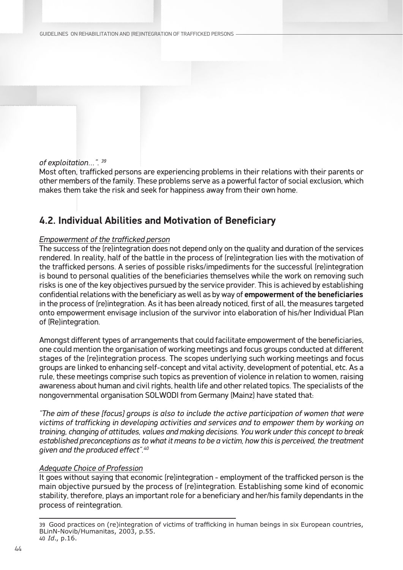#### *of exploitation…". 39*

Most often, trafficked persons are experiencing problems in their relations with their parents or other members of the family. These problems serve as a powerful factor of social exclusion, which makes them take the risk and seek for happiness away from their own home.

## **4.2. Individual Abilities and Motivation of Beneficiary**

#### *Empowerment of the trafficked person*

The success of the (re)integration does not depend only on the quality and duration of the services rendered. In reality, half of the battle in the process of (re)integration lies with the motivation of the trafficked persons. A series of possible risks/impediments for the successful (re)integration is bound to personal qualities of the beneficiaries themselves while the work on removing such risks is one of the key objectives pursued by the service provider. This is achieved by establishing confidential relations with the beneficiary as well as by way of **empowerment of the beneficiaries** in the process of (re)integration. As it has been already noticed, first of all, the measures targeted onto empowerment envisage inclusion of the survivor into elaboration of his/her Individual Plan of (Re)integration.

Amongst different types of arrangements that could facilitate empowerment of the beneficiaries, one could mention the organisation of working meetings and focus groups conducted at different stages of the (re)integration process. The scopes underlying such working meetings and focus groups are linked to enhancing self-concept and vital activity, development of potential, etc. As a rule, these meetings comprise such topics as prevention of violence in relation to women, raising awareness about human and civil rights, health life and other related topics. The specialists of the nongovernmental organisation SOLWODI from Germany (Mainz) have stated that:

*"The aim of these [focus] groups is also to include the active participation of women that were victims of trafficking in developing activities and services and to empower them by working on training, changing of attitudes, values and making decisions. You work under this concept to break established preconceptions as to what it means to be a victim, how this is perceived, the treatment given and the produced effect".40*

#### *Adequate Choice of Profession*

It goes without saying that economic (re)integration - employment of the trafficked person is the main objective pursued by the process of (re)integration. Establishing some kind of economic stability, therefore, plays an important role for a beneficiary and her/his family dependants in the process of reintegration.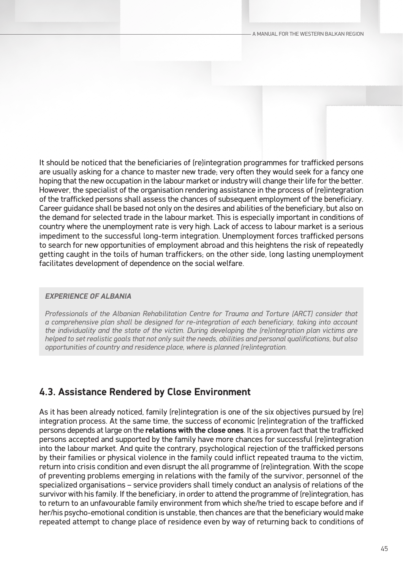It should be noticed that the beneficiaries of (re)integration programmes for trafficked persons are usually asking for a chance to master new trade; very often they would seek for a fancy one hoping that the new occupation in the labour market or industry will change their life for the better. However, the specialist of the organisation rendering assistance in the process of (re)integration of the trafficked persons shall assess the chances of subsequent employment of the beneficiary. Career guidance shall be based not only on the desires and abilities of the beneficiary, but also on the demand for selected trade in the labour market. This is especially important in conditions of country where the unemployment rate is very high. Lack of access to labour market is a serious impediment to the successful long-term integration. Unemployment forces trafficked persons to search for new opportunities of employment abroad and this heightens the risk of repeatedly getting caught in the toils of human traffickers; on the other side, long lasting unemployment facilitates development of dependence on the social welfare.

#### *EXPERIENCE OF ALBANIA*

*Professionals of the Albanian Rehabilitation Centre for Trauma and Torture (ARCT) consider that a comprehensive plan shall be designed for re-integration of each beneficiary, taking into account the individuality and the state of the victim. During developing the (re)integration plan victims are helped to set realistic goals that not only suit the needs, abilities and personal qualifications, but also opportunities of country and residence place, where is planned (re)integration.*

## **4.3. Assistance Rendered by Close Environment**

As it has been already noticed, family (re)integration is one of the six objectives pursued by (re) integration process. At the same time, the success of economic (re)integration of the trafficked persons depends at large on the **relations with the close ones**. It is a proven fact that the trafficked persons accepted and supported by the family have more chances for successful (re)integration into the labour market. And quite the contrary, psychological rejection of the trafficked persons by their families or physical violence in the family could inflict repeated trauma to the victim, return into crisis condition and even disrupt the all programme of (re)integration. With the scope of preventing problems emerging in relations with the family of the survivor, personnel of the specialized organisations – service providers shall timely conduct an analysis of relations of the survivor with his family. If the beneficiary, in order to attend the programme of (re)integration, has to return to an unfavourable family environment from which she/he tried to escape before and if her/his psycho-emotional condition is unstable, then chances are that the beneficiary would make repeated attempt to change place of residence even by way of returning back to conditions of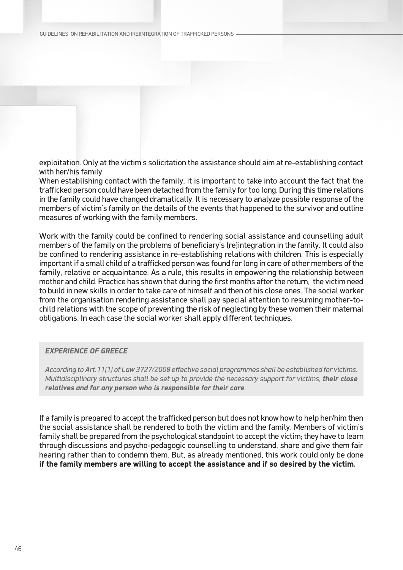exploitation. Only at the victim's solicitation the assistance should aim at re-establishing contact with her/his family.

When establishing contact with the family, it is important to take into account the fact that the trafficked person could have been detached from the family for too long. During this time relations in the family could have changed dramatically. It is necessary to analyze possible response of the members of victim's family on the details of the events that happened to the survivor and outline measures of working with the family members.

Work with the family could be confined to rendering social assistance and counselling adult members of the family on the problems of beneficiary's (re)integration in the family. It could also be confined to rendering assistance in re-establishing relations with children. This is especially important if a small child of a trafficked person was found for long in care of other members of the family, relative or acquaintance. As a rule, this results in empowering the relationship between mother and child. Practice has shown that during the first months after the return, the victim need to build in new skills in order to take care of himself and then of his close ones. The social worker from the organisation rendering assistance shall pay special attention to resuming mother-tochild relations with the scope of preventing the risk of neglecting by these women their maternal obligations. In each case the social worker shall apply different techniques.

#### *EXPERIENCE OF GREECE*

*According to Art.11(1) of Law 3727/2008 effective social programmes shall be established for victims. Multidisciplinary structures shall be set up to provide the necessary support for victims, their close relatives and for any person who is responsible for their care.*

If a family is prepared to accept the trafficked person but does not know how to help her/him then the social assistance shall be rendered to both the victim and the family. Members of victim's family shall be prepared from the psychological standpoint to accept the victim; they have to learn through discussions and psycho-pedagogic counselling to understand, share and give them fair hearing rather than to condemn them. But, as already mentioned, this work could only be done **if the family members are willing to accept the assistance and if so desired by the victim.**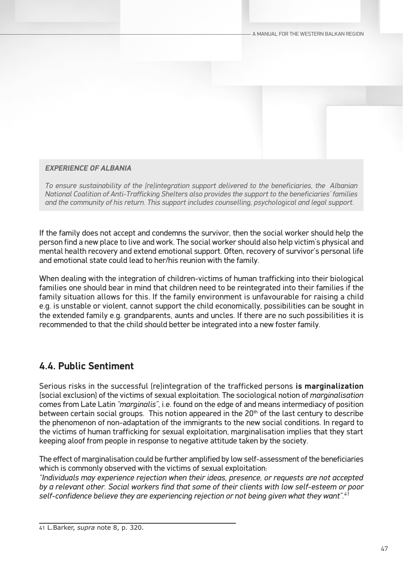#### *EXPERIENCE OF ALBANIA*

*To ensure sustainability of the (re)integration support delivered to the beneficiaries, the Albanian National Coalition of Anti-Trafficking Shelters also provides the support to the beneficiaries' families and the community of his return. This support includes counselling, psychological and legal support.*

If the family does not accept and condemns the survivor, then the social worker should help the person find a new place to live and work. The social worker should also help victim's physical and mental health recovery and extend emotional support. Often, recovery of survivor's personal life and emotional state could lead to her/his reunion with the family.

When dealing with the integration of children-victims of human trafficking into their biological families one should bear in mind that children need to be reintegrated into their families if the family situation allows for this. If the family environment is unfavourable for raising a child e.g. is unstable or violent, cannot support the child economically, possibilities can be sought in the extended family e.g. grandparents, aunts and uncles. If there are no such possibilities it is recommended to that the child should better be integrated into a new foster family.

## **4.4. Public Sentiment**

Serious risks in the successful (re)integration of the trafficked persons **is marginalization** (social exclusion) of the victims of sexual exploitation. The sociological notion of *marginalisation* comes from Late Latin *"marginalis"*, i.e. found on the edge of and means intermediacy of position between certain social groups. This notion appeared in the  $20<sup>th</sup>$  of the last century to describe the phenomenon of non-adaptation of the immigrants to the new social conditions. In regard to the victims of human trafficking for sexual exploitation, marginalisation implies that they start keeping aloof from people in response to negative attitude taken by the society.

The effect of marginalisation could be further amplified by low self-assessment of the beneficiaries which is commonly observed with the victims of sexual exploitation:

*"Individuals may experience rejection when their ideas, presence, or requests are not accepted by a relevant other. Social workers find that some of their clients with low self-esteem or poor self-confidence believe they are experiencing rejection or not being given what they want".41*

41 L.Barker, *supra* note 8, p. 320.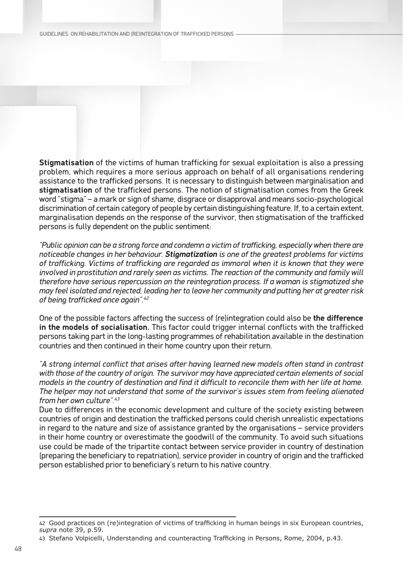**Stigmatisation** of the victims of human trafficking for sexual exploitation is also a pressing problem, which requires a more serious approach on behalf of all organisations rendering assistance to the trafficked persons. It is necessary to distinguish between marginalisation and **stigmatisation** of the trafficked persons. The notion of stigmatisation comes from the Greek word "stigma" – a mark or sign of shame, disgrace or disapproval and means socio-psychological discrimination of certain category of people by certain distinguishing feature. If, to a certain extent, marginalisation depends on the response of the survivor, then stigmatisation of the trafficked persons is fully dependent on the public sentiment:

*"Public opinion can be a strong force and condemn a victim of trafficking, especially when there are noticeable changes in her behaviour. Stigmatization is one of the greatest problems for victims of trafficking. Victims of trafficking are regarded as immoral when it is known that they were involved in prostitution and rarely seen as victims. The reaction of the community and family will therefore have serious repercussion on the reintegration process. If a woman is stigmatized she may feel isolated and rejected, leading her to leave her community and putting her at greater risk of being trafficked once again".42*

One of the possible factors affecting the success of (re)integration could also be **the difference in the models of socialisation.** This factor could trigger internal conflicts with the trafficked persons taking part in the long-lasting programmes of rehabilitation available in the destination countries and then continued in their home country upon their return.

*"A strong internal conflict that arises after having learned new models often stand in contrast with those of the country of origin. The survivor may have appreciated certain elements of social models in the country of destination and find it difficult to reconcile them with her life at home. The helper may not understand that some of the survivor's issues stem from feeling alienated from her own culture".43*

Due to differences in the economic development and culture of the society existing between countries of origin and destination the trafficked persons could cherish unrealistic expectations in regard to the nature and size of assistance granted by the organisations – service providers in their home country or overestimate the goodwill of the community. To avoid such situations use could be made of the tripartite contact between service provider in country of destination (preparing the beneficiary to repatriation), service provider in country of origin and the trafficked person established prior to beneficiary's return to his native country.

42 Good practices on (re)integration of victims of trafficking in human beings in six European countries, *supra* note 39, p.59.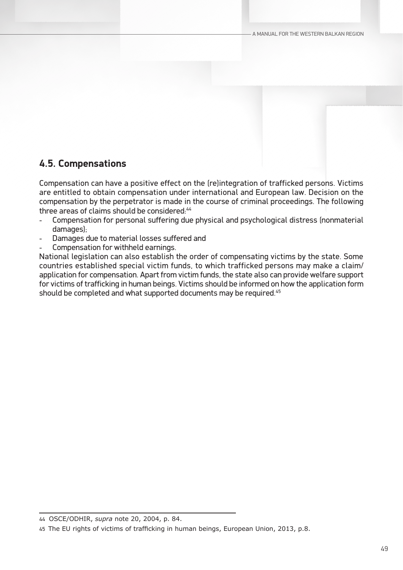## **4.5. Compensations**

Compensation can have a positive effect on the (re)integration of trafficked persons. Victims are entitled to obtain compensation under international and European law. Decision on the compensation by the perpetrator is made in the course of criminal proceedings. The following three areas of claims should be considered:<sup>44</sup>

- Compensation for personal suffering due physical and psychological distress (nonmaterial damages);
- Damages due to material losses suffered and
- Compensation for withheld earnings.

National legislation can also establish the order of compensating victims by the state. Some countries established special victim funds, to which trafficked persons may make a claim/ application for compensation. Apart from victim funds, the state also can provide welfare support for victims of trafficking in human beings. Victims should be informed on how the application form should be completed and what supported documents may be required.<sup>45</sup>

<sup>44</sup> OSCE/ODHIR, *supra* note 20, 2004, p. 84.

<sup>45</sup> The EU rights of victims of trafficking in human beings, European Union, 2013, p.8.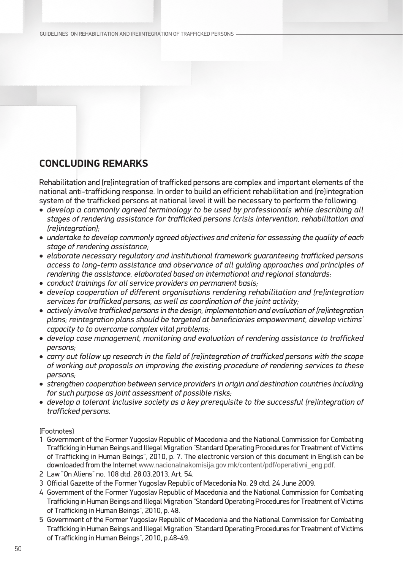## **CONCLUDING REMARKS**

Rehabilitation and (re)integration of trafficked persons are complex and important elements of the national anti-trafficking response. In order to build an efficient rehabilitation and (re)integration system of the trafficked persons at national level it will be necessary to perform the following:

- • *develop a commonly agreed terminology to be used by professionals while describing all stages of rendering assistance for trafficked persons (crisis intervention, rehabilitation and (re)integration);*
- • *undertake to develop commonly agreed objectives and criteria for assessing the quality of each stage of rendering assistance;*
- • *elaborate necessary regulatory and institutional framework guaranteeing trafficked persons access to long-term assistance and observance of all guiding approaches and principles of rendering the assistance, elaborated based on international and regional standards;*
- • *conduct trainings for all service providers on permanent basis;*
- • *develop cooperation of different organisations rendering rehabilitation and (re)integration services for trafficked persons, as well as coordination of the joint activity;*
- • *actively involve trafficked persons in the design, implementation and evaluation of (re)integration plans; reintegration plans should be targeted at beneficiaries empowerment, develop victims' capacity to to overcome complex vital problems;*
- • *develop case management, monitoring and evaluation of rendering assistance to trafficked persons;*
- • *carry out follow up research in the field of (re)integration of trafficked persons with the scope of working out proposals on improving the existing procedure of rendering services to these persons;*
- • *strengthen cooperation between service providers in origin and destination countries including for such purpose as joint assessment of possible risks;*
- • *develop a tolerant inclusive society as a key prerequisite to the successful (re)integration of trafficked persons.*

#### (Footnotes)

- 1 Government of the Former Yugoslav Republic of Macedonia and the National Commission for Combating Trafficking in Human Beings and Illegal Migration "Standard Operating Procedures for Treatment of Victims of Trafficking in Human Beings", 2010, p. 7. The electronic version of this document in English can be downloaded from the Internet www.nacionalnakomisija.gov.mk/content/pdf/operativni\_eng.pdf.
- 2 Law "On Aliens" no. 108 dtd. 28.03.2013, Art. 54.
- 3 Official Gazette of the Former Yugoslav Republic of Macedonia No. 29 dtd. 24 June 2009.
- 4 Government of the Former Yugoslav Republic of Macedonia and the National Commission for Combating Trafficking in Human Beings and Illegal Migration "Standard Operating Procedures for Treatment of Victims of Trafficking in Human Beings", 2010, p. 48.
- 5 Government of the Former Yugoslav Republic of Macedonia and the National Commission for Combating Trafficking in Human Beings and Illegal Migration "Standard Operating Procedures for Treatment of Victims of Trafficking in Human Beings", 2010, p.48-49.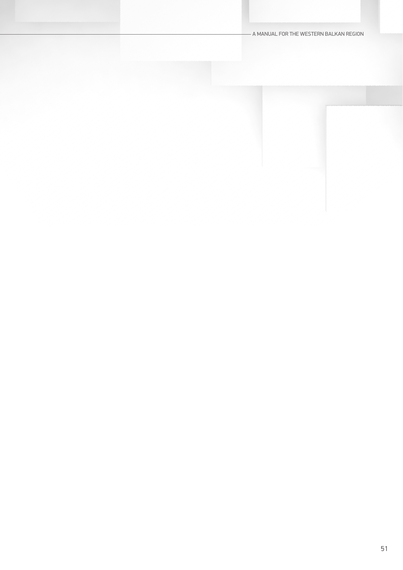- A MANUAL FOR THE WESTERN BALKAN REGION